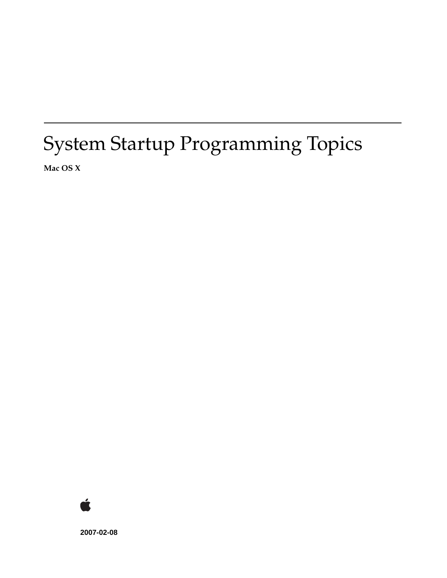# System Startup Programming Topics

**Mac OS X**



**2007-02-08**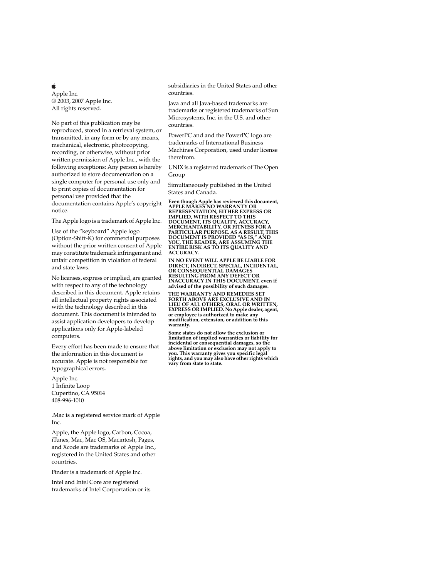### á

Apple Inc. © 2003, 2007 Apple Inc. All rights reserved.

No part of this publication may be reproduced, stored in a retrieval system, or transmitted, in any form or by any means, mechanical, electronic, photocopying, recording, or otherwise, without prior written permission of Apple Inc., with the following exceptions: Any person is hereby authorized to store documentation on a single computer for personal use only and to print copies of documentation for personal use provided that the documentation contains Apple's copyright notice.

The Apple logo is a trademark of Apple Inc.

Use of the "keyboard" Apple logo (Option-Shift-K) for commercial purposes without the prior written consent of Apple may constitute trademark infringement and unfair competition in violation of federal and state laws.

No licenses, express or implied, are granted with respect to any of the technology described in this document. Apple retains all intellectual property rights associated with the technology described in this document. This document is intended to assist application developers to develop applications only for Apple-labeled computers.

Every effort has been made to ensure that the information in this document is accurate. Apple is not responsible for typographical errors.

Apple Inc. 1 Infinite Loop Cupertino, CA 95014 408-996-1010

.Mac is a registered service mark of Apple Inc.

Apple, the Apple logo, Carbon, Cocoa, iTunes, Mac, Mac OS, Macintosh, Pages, and Xcode are trademarks of Apple Inc., registered in the United States and other countries.

Finder is a trademark of Apple Inc.

Intel and Intel Core are registered trademarks of Intel Corportation or its subsidiaries in the United States and other countries.

Java and all Java-based trademarks are trademarks or registered trademarks of Sun Microsystems, Inc. in the U.S. and other countries.

PowerPC and and the PowerPC logo are trademarks of International Business Machines Corporation, used under license therefrom.

UNIX is a registered trademark of The Open Group

Simultaneously published in the United States and Canada.

**Even though Apple has reviewed this document,<br>APPLE MAKES NO WARRANTY OR<br>REPRESENTATION, EITHER EXPRESS OR<br>IMPLIED, WITH RESPECT TO THIS<br>DOCUMENT, ITS QUALITY, ACCURACY,<br>MERCHANTABILITY, OR FITNESS FOR A<br>PARTICULAR PURPOS YOU, THE READER, ARE ASSUMING THE ENTIRE RISK AS TO ITS QUALITY AND ACCURACY.**

**IN NO EVENT WILL APPLE BE LIABLE FOR DIRECT, INDIRECT, SPECIAL, INCIDENTAL, OR CONSEQUENTIAL DAMAGES RESULTING FROM ANY DEFECT OR INACCURACY IN THIS DOCUMENT, even if advised of the possibility of such damages.**

**THE WARRANTY AND REMEDIES SET FORTH ABOVE ARE EXCLUSIVE AND IN LIEU OF ALL OTHERS, ORAL OR WRITTEN, EXPRESS OR IMPLIED. No Apple dealer, agent, or employee is authorized to make any modification, extension, or addition to this warranty.**

**Some states do not allow the exclusion or** limitation of implied warranties or liability for<br>incidental or consequential damages, so the<br>above limitation or exclusion may not apply to you. This warranty gives you specific legal<br>rights, and you may also have other rights which<br>vary from state to state.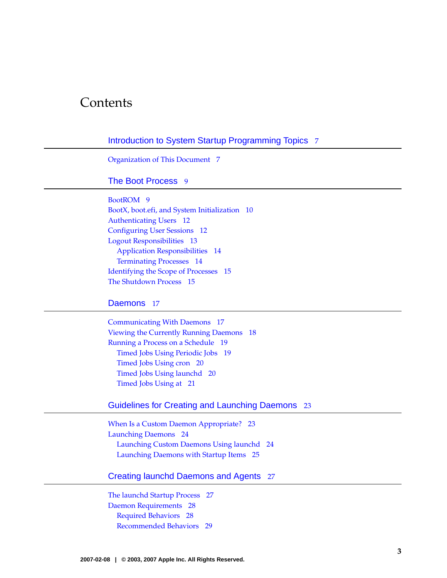## Contents

#### Introduction to System Startup [Programming](#page-6-0) Topics 7

[Organization](#page-6-1) of This Document 7

### The Boot [Process](#page-8-0) 9

[BootROM](#page-8-1) 9 BootX, boot.efi, and System [Initialization](#page-9-0) 10 [Authenticating](#page-11-0) Users 12 [Configuring](#page-11-1) User Sessions 12 Logout [Responsibilities](#page-12-0) 13 Application [Responsibilities](#page-13-0) 14 [Terminating](#page-13-1) Processes 14 [Identifying](#page-14-0) the Scope of Processes 15 The [Shutdown](#page-14-1) Process 15

#### [Daemons](#page-16-0) 17

[Communicating](#page-16-1) With Daemons 17 Viewing the [Currently](#page-17-0) Running Daemons 18 Running a Process on a [Schedule](#page-18-0) 19 Timed Jobs Using [Periodic](#page-18-1) Jobs 19 [Timed](#page-19-0) Jobs Using cron 20 Timed Jobs Using [launchd](#page-19-1) 20 [Timed](#page-20-0) Jobs Using at 21

### [Guidelines](#page-22-0) for Creating and Launching Daemons 23

When Is a Custom Daemon [Appropriate?](#page-22-1) 23 [Launching](#page-23-0) Daemons 24 [Launching](#page-23-1) Custom Daemons Using launchd 24 [Launching](#page-24-0) Daemons with Startup Items 25

#### Creating launchd [Daemons](#page-26-0) and Agents 27

The [launchd](#page-26-1) Startup Process 27 Daemon [Requirements](#page-27-0) 28 Required [Behaviors](#page-27-1) 28 [Recommended](#page-28-0) Behaviors 29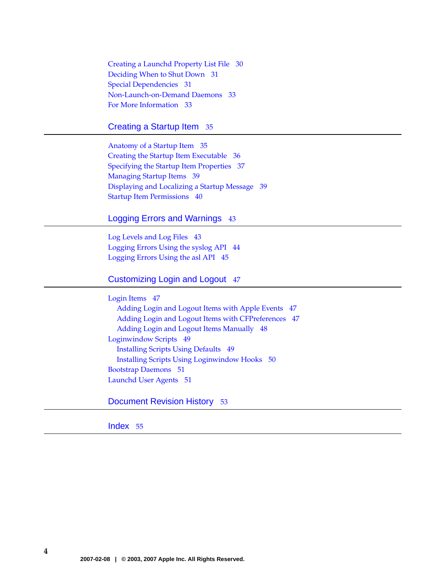Creating a [Launchd](#page-29-0) Property List File 30 [Deciding](#page-30-0) When to Shut Down 31 Special [Dependencies](#page-30-1) 31 [Non-Launch-on-Demand](#page-32-0) Daemons 33 For More [Information](#page-32-1) 33

### [Creating](#page-34-0) a Startup Item 35

[Anatomy](#page-34-1) of a Startup Item 35 Creating the Startup Item [Executable](#page-35-0) 36 [Specifying](#page-36-0) the Startup Item Properties 37 [Managing](#page-38-0) Startup Items 39 [Displaying](#page-38-1) and Localizing a Startup Message 39 Startup Item [Permissions](#page-39-0) 40

### Logging Errors and [Warnings](#page-42-0) 43

Log [Levels](#page-42-1) and Log Files 43 [Logging](#page-43-0) Errors Using the syslog API 44 [Logging](#page-44-0) Errors Using the asl API 45

#### [Customizing](#page-46-0) Login and Logout 47

[Login](#page-46-1) Items 47

[Adding](#page-46-2) Login and Logout Items with Apple Events 47 Adding Login and Logout Items with [CFPreferences](#page-46-3) 47 Adding Login and Logout Items [Manually](#page-47-0) 48 [Loginwindow](#page-48-0) Scripts 49 [Installing](#page-48-1) Scripts Using Defaults 49 Installing Scripts Using [Loginwindow](#page-49-0) Hooks 50 [Bootstrap](#page-50-0) Daemons 51 [Launchd](#page-50-1) User Agents 51

### [Document](#page-52-0) Revision History 53

[Index](#page-54-0) 55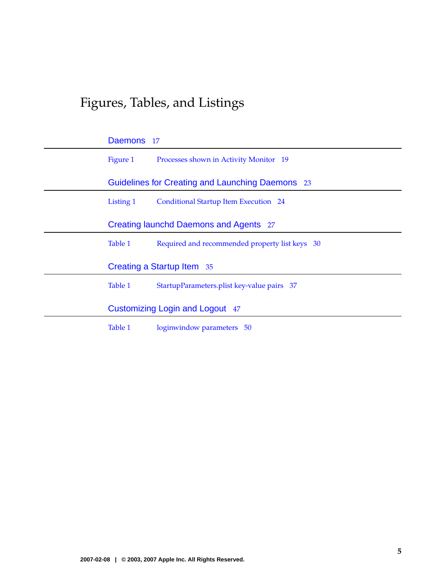# Figures, Tables, and Listings

| Daemons 17 |                                                  |
|------------|--------------------------------------------------|
| Figure 1   | Processes shown in Activity Monitor 19           |
|            | Guidelines for Creating and Launching Daemons 23 |
| Listing 1  | <b>Conditional Startup Item Execution</b> 24     |
|            | Creating launchd Daemons and Agents 27           |
| Table 1    | Required and recommended property list keys 30   |
|            | Creating a Startup Item 35                       |
| Table 1    | StartupParameters.plist key-value pairs 37       |
|            | Customizing Login and Logout 47                  |
| Table 1    | loginwindow parameters 50                        |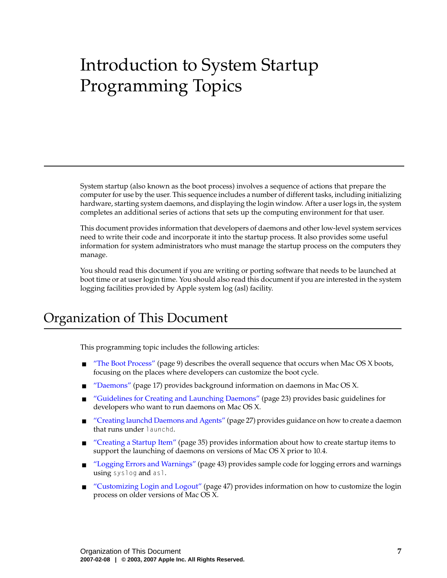# <span id="page-6-0"></span>Introduction to System Startup Programming Topics

System startup (also known as the boot process) involves a sequence of actions that prepare the computer for use by the user. This sequence includes a number of different tasks, including initializing hardware, starting system daemons, and displaying the login window. After a user logs in, the system completes an additional series of actions that sets up the computing environment for that user.

This document provides information that developers of daemons and other low-level system services need to write their code and incorporate it into the startup process. It also provides some useful information for system administrators who must manage the startup process on the computers they manage.

You should read this document if you are writing or porting software that needs to be launched at boot time or at user login time. You should also read this document ifyou are interested in the system logging facilities provided by Apple system log (asl) facility.

## <span id="page-6-1"></span>Organization of This Document

This programming topic includes the following articles:

- "The Boot [Process"](#page-8-0) (page 9) describes the overall sequence that occurs when Mac OS X boots, focusing on the places where developers can customize the boot cycle.
- ["Daemons"](#page-16-0) (page 17) provides background information on daemons in Mac OS X.
- ["Guidelines](#page-22-0) for Creating and Launching Daemons" (page 23) provides basic guidelines for developers who want to run daemons on Mac OS X.
- "Creating launchd Daemons and Agents" (page 27) provides guidance on how to create a daemon that runs under launchd.
- ["Creating](#page-34-0) a Startup Item" (page 35) provides information about how to create startup items to support the launching of daemons on versions of Mac OS X prior to 10.4.
- "Logging Errors and [Warnings"](#page-42-0) (page 43) provides sample code for logging errors and warnings using syslog and asl.
- ["Customizing](#page-46-0) Login and Logout" (page 47) provides information on how to customize the login process on older versions of Mac OS X.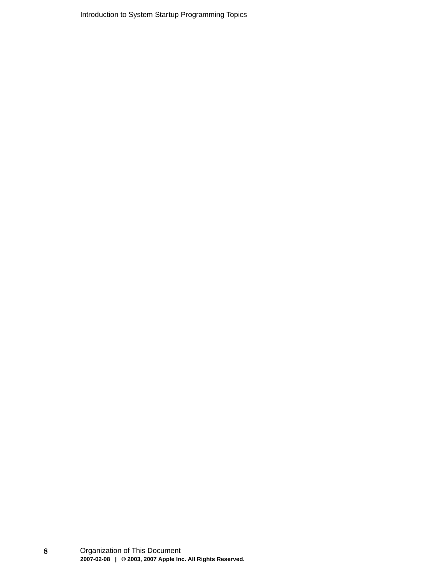Introduction to System Startup Programming Topics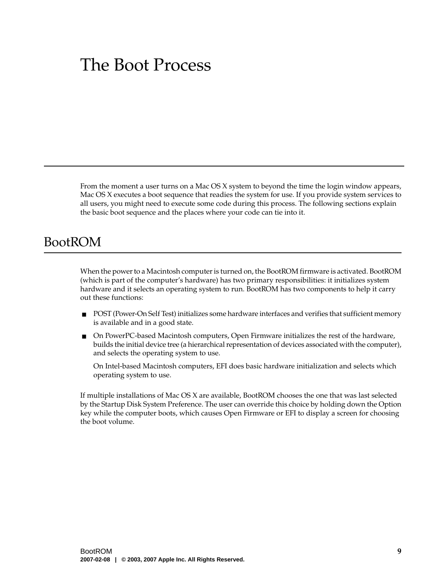# <span id="page-8-0"></span>The Boot Process

From the moment a user turns on a Mac OS X system to beyond the time the login window appears, Mac OS X executes a boot sequence that readies the system for use. If you provide system services to all users, you might need to execute some code during this process. The following sections explain the basic boot sequence and the places where your code can tie into it.

## <span id="page-8-1"></span>BootROM

<span id="page-8-5"></span><span id="page-8-2"></span>When the power to a Macintosh computer is turned on, the BootROM firmware is activated. BootROM (which is part of the computer's hardware) has two primary responsibilities: it initializes system hardware and it selects an operating system to run. BootROM has two components to help it carry out these functions:

- <span id="page-8-4"></span>POST (Power-On Self Test) initializes some hardware interfaces and verifies that sufficient memory is available and in a good state.
- <span id="page-8-3"></span>■ On PowerPC-based Macintosh computers, Open Firmware initializes the rest of the hardware, builds the initial device tree (a hierarchical representation of devices associated with the computer), and selects the operating system to use.

On Intel-based Macintosh computers, EFI does basic hardware initialization and selects which operating system to use.

If multiple installations of Mac OS X are available, BootROM chooses the one that was last selected by the Startup Disk System Preference. The user can override this choice by holding down the Option key while the computer boots, which causes Open Firmware or EFI to display a screen for choosing the boot volume.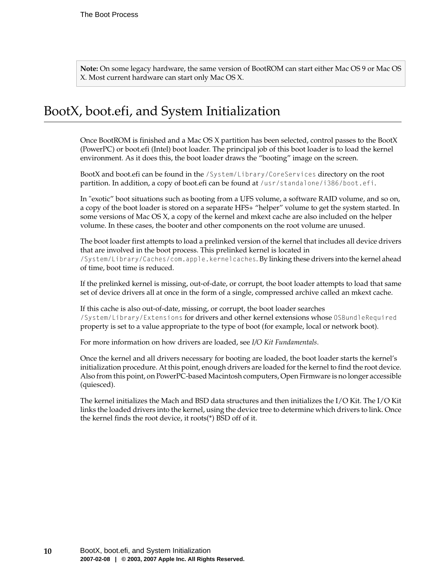**Note:** On some legacy hardware, the same version of BootROM can start either Mac OS 9 or Mac OS X. Most current hardware can start only Mac OS X.

## <span id="page-9-0"></span>BootX, boot.efi, and System Initialization

<span id="page-9-1"></span>Once BootROM is finished and a Mac OS X partition has been selected, control passes to the BootX (PowerPC) or boot.efi (Intel) boot loader. The principal job of this boot loader is to load the kernel environment. As it does this, the boot loader draws the "booting" image on the screen.

BootX and boot.efi can be found in the /System/Library/CoreServices directory on the root partition. In addition, a copy of boot.efi can be found at /usr/standalone/i386/boot.efi.

In "exotic" boot situations such as booting from a UFS volume, a software RAID volume, and so on, a copy of the boot loader is stored on a separate HFS+ "helper" volume to get the system started. In some versions of Mac OS X, a copy of the kernel and mkext cache are also included on the helper volume. In these cases, the booter and other components on the root volume are unused.

The boot loader first attempts to load a prelinked version of the kernel that includes all device drivers that are involved in the boot process. This prelinked kernel is located in /System/Library/Caches/com.apple.kernelcaches. By linking these drivers into the kernel ahead of time, boot time is reduced.

<span id="page-9-2"></span>If the prelinked kernel is missing, out-of-date, or corrupt, the boot loader attempts to load that same set of device drivers all at once in the form of a single, compressed archive called an mkext cache.

<span id="page-9-4"></span>If this cache is also out-of-date, missing, or corrupt, the boot loader searches /System/Library/Extensions for drivers and other kernel extensions whose OSBundleRequired property is set to a value appropriate to the type of boot (for example, local or network boot).

For more information on how drivers are loaded, see *I/O Kit Fundamentals*.

<span id="page-9-3"></span>Once the kernel and all drivers necessary for booting are loaded, the boot loader starts the kernel's initialization procedure. At this point, enough drivers are loaded forthekernel to find the root device. Also from this point, on PowerPC-based Macintosh computers, Open Firmware is no longer accessible (quiesced).

The kernel initializes the Mach and BSD data structures and then initializes the I/O Kit. The I/O Kit links the loaded drivers into the kernel, using the device tree to determine which drivers to link. Once the kernel finds the root device, it roots(\*) BSD off of it.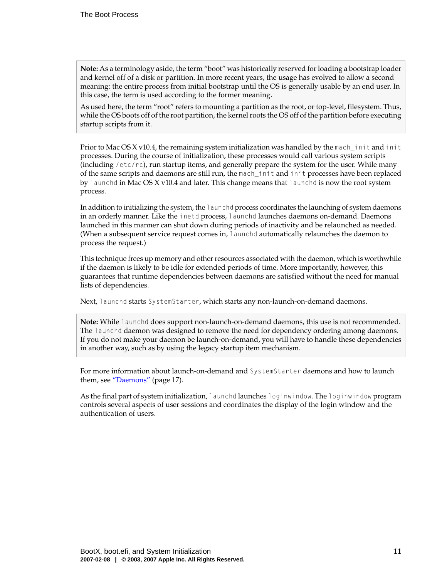Note: As a terminology aside, the term "boot" was historically reserved for loading a bootstrap loader and kernel off of a disk or partition. In more recent years, the usage has evolved to allow a second meaning: the entire process from initial bootstrap until the OS is generally usable by an end user. In this case, the term is used according to the former meaning.

As used here, the term "root" refers to mounting a partition as the root, or top-level, filesystem. Thus, while the OS boots off of the root partition, the kernel roots the OS off of the partition before executing startup scripts from it.

<span id="page-10-3"></span><span id="page-10-0"></span>Prior to Mac OS X v10.4, the remaining system initialization was handled by the mach\_init and init processes. During the course of initialization, these processes would call various system scripts  $(including /etc/rc)$ , run startup items, and generally prepare the system for the user. While many of the same scripts and daemons are still run, the mach\_init and init processes have been replaced by launchd in Mac OS X v10.4 and later. This change means that launchd is now the root system process.

<span id="page-10-1"></span>In addition to initializing the system, the launchd process coordinates the launching of system daemons in an orderly manner. Like the inetd process, launchd launches daemons on-demand. Daemons launched in this manner can shut down during periods of inactivity and be relaunched as needed. (When a subsequent service request comes in, launchd automatically relaunches the daemon to process the request.)

This technique frees up memory and other resources associated with the daemon, which is worthwhile if the daemon is likely to be idle for extended periods of time. More importantly, however, this guarantees that runtime dependencies between daemons are satisfied without the need for manual lists of dependencies.

Next, launchd starts SystemStarter, which starts any non-launch-on-demand daemons.

**Note:** While launchd does support non-launch-on-demand daemons, this use is not recommended. The launchd daemon was designed to remove the need for dependency ordering among daemons. If you do not make your daemon be launch-on-demand, you will have to handle these dependencies in another way, such as by using the legacy startup item mechanism.

<span id="page-10-2"></span>For more information about launch-on-demand and SystemStarter daemons and how to launch them, see ["Daemons"](#page-16-0) (page 17).

As the final part of system initialization, launchd launches loginwindow. The loginwindow program controls several aspects of user sessions and coordinates the display of the login window and the authentication of users.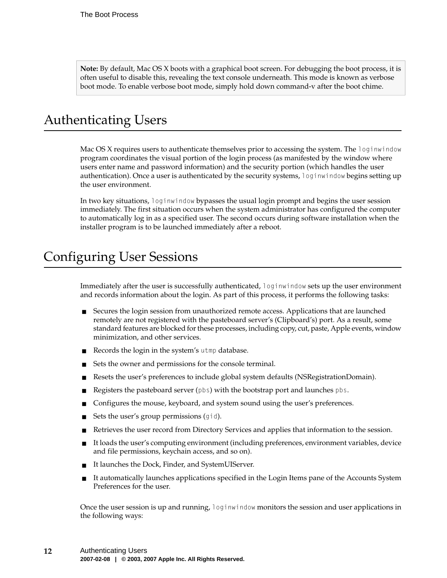**Note:** By default, Mac OS X boots with a graphical boot screen. For debugging the boot process, it is often useful to disable this, revealing the text console underneath. This mode is known as verbose boot mode. To enable verbose boot mode, simply hold down command-v after the boot chime.

# <span id="page-11-0"></span>Authenticating Users

<span id="page-11-2"></span>Mac OS X requires users to authenticate themselves prior to accessing the system. The loginwindow program coordinates the visual portion of the login process (as manifested by the window where users enter name and password information) and the security portion (which handles the user authentication). Once a user is authenticated by the security systems, loginwindow begins setting up the user environment.

In two key situations, loginwindow bypasses the usual login prompt and begins the user session immediately. The first situation occurs when the system administrator has configured the computer to automatically log in as a specified user. The second occurs during software installation when the installer program is to be launched immediately after a reboot.

## <span id="page-11-1"></span>Configuring User Sessions

Immediately after the user is successfully authenticated, loginwindow sets up the user environment and records information about the login. As part of this process, it performs the following tasks:

- Secures the login session from unauthorized remote access. Applications that are launched remotely are not registered with the pasteboard server's (Clipboard's) port. As a result, some standard features are blocked for these processes, including copy, cut, paste, Apple events, window minimization, and other services.
- <span id="page-11-5"></span><span id="page-11-3"></span>Records the login in the system's utmp database.
- Sets the owner and permissions for the console terminal.
- Resets the user's preferences to include global system defaults (NSRegistrationDomain).
- Registers the pasteboard server ( $pbs$ ) with the bootstrap port and launches  $pbs$ .
- Configures the mouse, keyboard, and system sound using the user's preferences.
- <span id="page-11-4"></span>Sets the user's group permissions  $(\text{gid})$ .
- Retrieves the user record from Directory Services and applies that information to the session.
- It loads the user's computing environment (including preferences, environment variables, device and file permissions, keychain access, and so on).
- It launches the Dock, Finder, and SystemUIServer.
- It automatically launches applications specified in the Login Items pane of the Accounts System Preferences for the user.

Once the user session is up and running, loginwindow monitors the session and user applications in the following ways: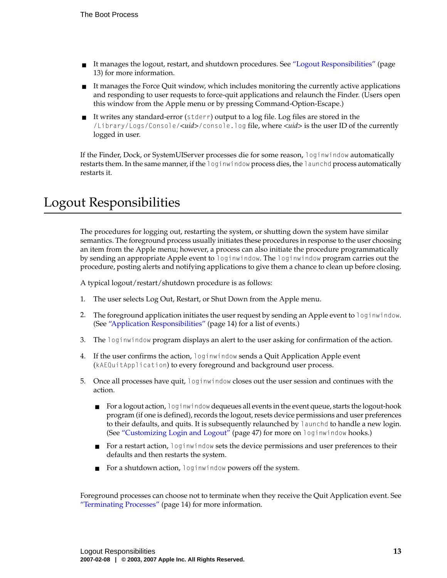- It manages the logout, restart, and shutdown procedures. See "Logout [Responsibilities"](#page-12-0) (page 13) for more information.
- <span id="page-12-1"></span>It manages the Force Quit window, which includes monitoring the currently active applications and responding to user requests to force-quit applications and relaunch the Finder. (Users open this window from the Apple menu or by pressing Command-Option-Escape.)
- <span id="page-12-3"></span>It writes any standard-error (stderr) output to a log file. Log files are stored in the /Library/Logs/Console/*<uid>*/console.log file, where *<uid>* is the user ID of the currently logged in user.

If the Finder, Dock, or SystemUIServer processes die for some reason, loginwindow automatically restarts them. In the same manner, if the loginwindow process dies, the launchd process automatically restarts it.

## <span id="page-12-0"></span>Logout Responsibilities

<span id="page-12-2"></span>The procedures for logging out, restarting the system, or shutting down the system have similar semantics. The foreground process usually initiates these procedures in response to the user choosing an item from the Apple menu; however, a process can also initiate the procedure programmatically by sending an appropriate Apple event to loginwindow. The loginwindow program carries out the procedure, posting alerts and notifying applications to give them a chance to clean up before closing.

A typical logout/restart/shutdown procedure is as follows:

- 1. The user selects Log Out, Restart, or Shut Down from the Apple menu.
- 2. The foreground application initiates the user request by sending an Apple event to loginwindow. (See "Application [Responsibilities"](#page-13-0) (page 14) for a list of events.)
- 3. The loginwindow program displays an alert to the user asking for confirmation of the action.
- 4. If the user confirms the action, loginwindow sends a Quit Application Apple event (kAEQuitApplication) to every foreground and background user process.
- 5. Once all processes have quit, loginwindow closes out the user session and continues with the action.
	- For a logout action, loginwindow dequeues all events in the event queue, starts the logout-hook program (if one is defined), records the logout, resets device permissions and user preferences to their defaults, and quits. It is subsequently relaunched by launchd to handle a new login. (See ["Customizing](#page-46-0) Login and Logout" (page 47) for more on loginwindow hooks.)
	- For a restart action, loginwindow sets the device permissions and user preferences to their defaults and then restarts the system.
	- For a shutdown action, loginwindow powers off the system.

Foreground processes can choose not to terminate when they receive the Quit Application event. See ["Terminating](#page-13-1) Processes" (page 14) for more information.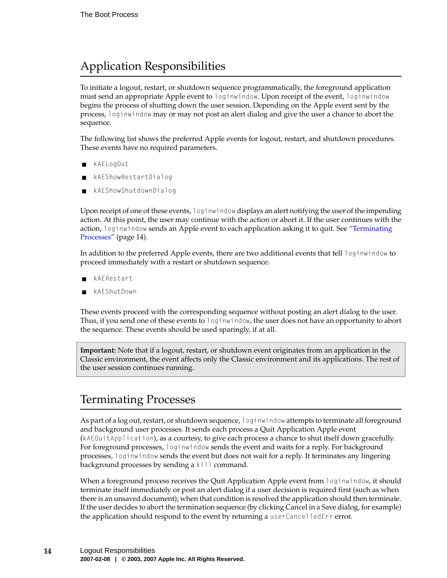## <span id="page-13-0"></span>Application Responsibilities

<span id="page-13-2"></span>To initiate a logout, restart, or shutdown sequence programmatically, the foreground application must send an appropriate Apple event to loginwindow. Upon receipt of the event, loginwindow begins the process of shutting down the user session. Depending on the Apple event sent by the process, loginwindow may or may not post an alert dialog and give the user a chance to abort the sequence.

<span id="page-13-5"></span>The following list shows the preferred Apple events for logout, restart, and shutdown procedures. These events have no required parameters.

- <span id="page-13-7"></span>■ kAELogOut
- <span id="page-13-8"></span>■ kAEShowRestartDialog
- kAEShowShutdownDialog

Upon receipt of one of these events, loginwindow displays an alert notifying the user of the impending action. At this point, the user may continue with the action or abort it. If the user continues with the action, loginwindow sends an Apple event to each application asking it to quit. See ["Terminating](#page-13-1) [Processes"](#page-13-1) (page 14).

<span id="page-13-9"></span><span id="page-13-6"></span>In addition to the preferred Apple events, there are two additional events that tell loginwindow to proceed immediately with a restart or shutdown sequence:

- kAERestart
- kAEShutDown

<span id="page-13-3"></span>These events proceed with the corresponding sequence without posting an alert dialog to the user. Thus, if you send one of these events to loginwindow, the user does not have an opportunity to abort the sequence. These events should be used sparingly, if at all.

<span id="page-13-1"></span>**Important:** Note that if a logout, restart, or shutdown event originates from an application in the Classic environment, the event affects only the Classic environment and its applications. The rest of the user session continues running.

## <span id="page-13-10"></span>Terminating Processes

<span id="page-13-4"></span>As part of a log out, restart, or shutdown sequence, loginwindow attempts to terminate all foreground and background user processes. It sends each process a Quit Application Apple event (kAEQuitApplication), as a courtesy, to give each process a chance to shut itself down gracefully. For foreground processes, loginwindow sends the event and waits for a reply. For background processes, loginwindow sends the event but does not wait for a reply. It terminates any lingering background processes by sending a kill command.

When a foreground process receives the Quit Application Apple event from loginwindow, it should terminate itself immediately or post an alert dialog if a user decision is required first (such as when there is an unsaved document);when that condition is resolved the application should then terminate. If the user decides to abort the termination sequence (byclicking Cancel in a Save dialog, for example) the application should respond to the event by returning a userCancelledErr error.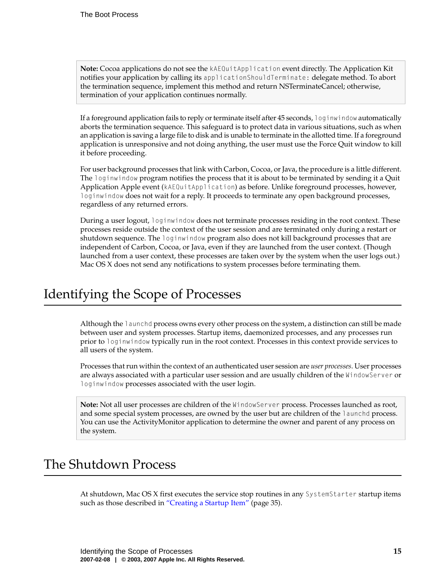**Note:** Cocoa applications do not see the kAEQuitApplication event directly. The Application Kit notifies your application by calling its applicationShouldTerminate: delegate method. To abort the termination sequence, implement this method and return NSTerminateCancel; otherwise, termination of your application continues normally.

If a foreground application fails to reply or terminate itself after 45 seconds, loginwindow automatically aborts the termination sequence. This safeguard is to protect data in various situations, such as when an application is saving a large file to disk and is unable to terminate in the allotted time. If a foreground application is unresponsive and not doing anything, the user must use the Force Quit window to kill it before proceeding.

<span id="page-14-2"></span>For user background processes that link with Carbon, Cocoa, or Java, the procedure is a little different. The loginwindow program notifies the process that it is about to be terminated by sending it a Quit Application Apple event (kAEQuitApplication) as before. Unlike foreground processes, however, loginwindow does not wait for a reply. It proceeds to terminate any open background processes, regardless of any returned errors.

During a user logout, loginwindow does not terminate processes residing in the root context. These processes reside outside the context of the user session and are terminated only during a restart or shutdown sequence. The loginwindow program also does not kill background processes that are independent of Carbon, Cocoa, or Java, even if they are launched from the user context. (Though launched from a user context, these processes are taken over by the system when the user logs out.) Mac OS X does not send any notifications to system processes before terminating them.

## <span id="page-14-3"></span><span id="page-14-0"></span>Identifying the Scope of Processes

Although the launchd process owns every other process on the system, a distinction can still be made between user and system processes. Startup items, daemonized processes, and any processes run prior to loginwindow typically run in the root context. Processes in this context provide services to all users of the system.

Processes that run within the context of an authenticated user session are *user processes*. User processes are always associated with a particular user session and are usually children of the WindowServer or loginwindow processes associated with the user login.

<span id="page-14-1"></span>**Note:** Not all user processes are children of the WindowServer process. Processes launched as root, and some special system processes, are owned by the user but are children of the launchd process. You can use the ActivityMonitor application to determine the owner and parent of any process on the system.

# The Shutdown Process

At shutdown, Mac OS X first executes the service stop routines in any SystemStarter startup items such as those described in ["Creating](#page-34-0) a Startup Item" (page 35).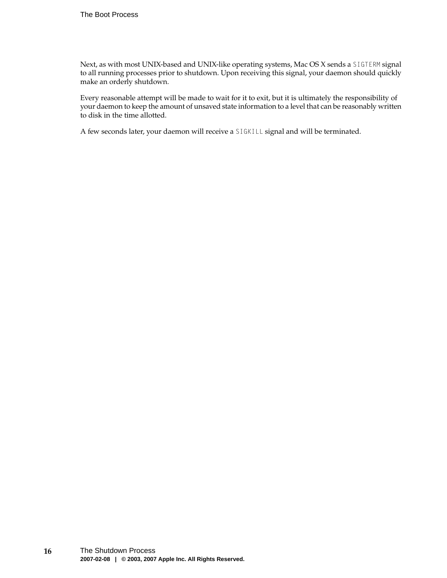Next, as with most UNIX-based and UNIX-like operating systems, Mac OS X sends a SIGTERM signal to all running processes prior to shutdown. Upon receiving this signal, your daemon should quickly make an orderly shutdown.

Every reasonable attempt will be made to wait for it to exit, but it is ultimately the responsibility of your daemon to keep the amount of unsaved state information to a level that can be reasonably written to disk in the time allotted.

A few seconds later, your daemon will receive a SIGKILL signal and will be terminated.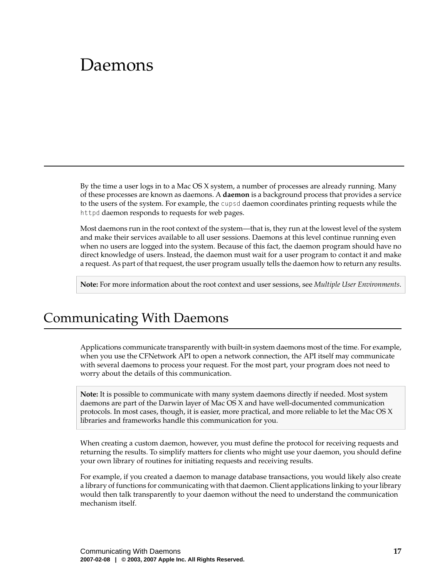# <span id="page-16-0"></span>Daemons

<span id="page-16-5"></span><span id="page-16-4"></span>By the time a user logs in to a Mac OS X system, a number of processes are already running. Many of these processes are known as daemons. A **daemon** is a background process that provides a service to the users of the system. For example, the cupsd daemon coordinates printing requests while the httpd daemon responds to requests for web pages.

<span id="page-16-2"></span>Most daemons run in the root context of the system—that is, theyrun at the lowest level of the system and make their services available to all user sessions. Daemons at this level continue running even when no users are logged into the system. Because of this fact, the daemon program should have no direct knowledge of users. Instead, the daemon must wait for a user program to contact it and make a request. As part of that request, the user program usually tells the daemon how to return any results.

**Note:** For more information about the root context and user sessions, see *Multiple User Environments*.

## <span id="page-16-3"></span><span id="page-16-1"></span>Communicating With Daemons

Applications communicate transparently with built-in system daemons most of the time. For example, when you use the CFNetwork API to open a network connection, the API itself may communicate with several daemons to process your request. For the most part, your program does not need to worry about the details of this communication.

**Note:** It is possible to communicate with many system daemons directly if needed. Most system daemons are part of the Darwin layer of Mac OS X and have well-documented communication protocols. In most cases, though, it is easier, more practical, and more reliable to let the Mac OS X libraries and frameworks handle this communication for you.

When creating a custom daemon, however, you must define the protocol for receiving requests and returning the results. To simplify matters for clients who might use your daemon, you should define your own library of routines for initiating requests and receiving results.

For example, if you created a daemon to manage database transactions, you would likely also create a library of functions for communicating with that daemon. Client applications linking to your library would then talk transparently to your daemon without the need to understand the communication mechanism itself.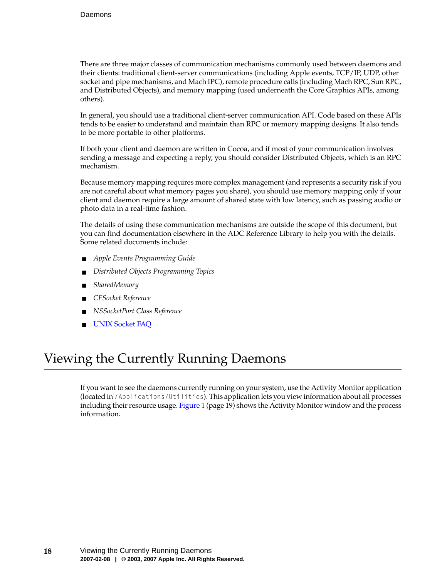There are three major classes of communication mechanisms commonly used between daemons and their clients: traditional client-server communications (including Apple events, TCP/IP, UDP, other socket and pipe mechanisms, and Mach IPC), remote procedure calls (including Mach RPC, Sun RPC, and Distributed Objects), and memory mapping (used underneath the Core Graphics APIs, among others).

In general, you should use a traditional client-server communication API. Code based on these APIs tends to be easier to understand and maintain than RPC or memory mapping designs. It also tends to be more portable to other platforms.

If both your client and daemon are written in Cocoa, and if most of your communication involves sending a message and expecting a reply, you should consider Distributed Objects, which is an RPC mechanism.

Because memory mapping requires more complex management (and represents a security risk if you are not careful about what memory pages you share), you should use memory mapping only if your client and daemon require a large amount of shared state with low latency, such as passing audio or photo data in a real-time fashion.

The details of using these communication mechanisms are outside the scope of this document, but you can find documentation elsewhere in the ADC Reference Library to help you with the details. Some related documents include:

- *Apple Events Programming Guide*
- *Distributed Objects Programming Topics*
- *SharedMemory*
- *CFSocket Reference*
- *NSSocketPort Class Reference*
- <span id="page-17-1"></span>UNIX [Socket](http://www.developerweb.net/forum/) FAQ

# <span id="page-17-0"></span>Viewing the Currently Running Daemons

If you want to see the daemons currently running on your system, use the Activity Monitor application (located in /Applications/Utilities). This application letsyou viewinformation about all processes including their resource usage. [Figure](#page-18-2) 1 (page 19) shows the Activity Monitor window and the process information.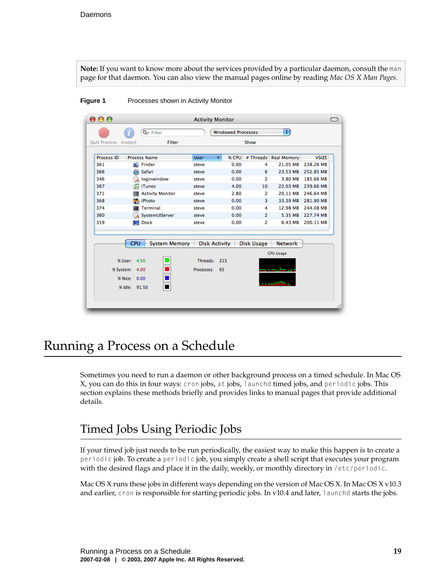<span id="page-18-3"></span>**Note:** If you want to know more about the services provided by a particular daemon, consult the man page for that daemon. You can also view the manual pages online by reading *Mac OS X Man Pages*.

| $\mathbf{\Theta} \mathbf{\Theta} \mathbf{\Theta}$ |                     |                         | <b>Activity Monitor</b> |                           |            |                       | $\bigcirc$   |
|---------------------------------------------------|---------------------|-------------------------|-------------------------|---------------------------|------------|-----------------------|--------------|
|                                                   | Q- Filter           |                         |                         | <b>Windowed Processes</b> |            | $\div$                |              |
| <b>Quit Process</b>                               | Inspect             | Filter                  |                         |                           | Show       |                       |              |
| Process ID                                        | <b>Process Name</b> |                         | <b>User</b>             | $\mathbf{v}$<br>% CPU     |            | # Threads Real Memory | <b>VSIZE</b> |
| 361                                               | Finder              |                         | steve                   | 0.00                      | 4          | 21.05 MB              | 238.26 MB    |
| 366                                               | Safari              |                         | steve                   | 0.00                      | 6          | 23.53 MB              | 252.85 MB    |
| 346                                               | loginwindow         |                         | steve                   | 0.00                      | 2          | 3.80 MB               | 185.66 MB    |
| 367                                               | đū<br>iTunes        |                         | steve                   | 4.00                      | 10         | 22.03 MB              | 239.66 MB    |
| 371                                               |                     | <b>Activity Monitor</b> | steve                   | 2.80                      | 2          | 20.11 MB              | 246.64 MB    |
| 368                                               | iPhoto<br>A         |                         | steve                   | 0.00                      | з          | 33.39 MB              | 281.90 MB    |
| 374                                               | Terminal            |                         | steve                   | 0.00                      | 4          | 12.98 MB              | 244.08 MB    |
| 360                                               |                     | SystemUIServer          | steve                   | 0.00                      | 2          | 5.35 MB               | 227.74 MB    |
| 359                                               | <b>Dock</b>         |                         | steve                   | 0.00                      | 2          | 6.43 MB               | 200.11 MB    |
|                                                   | CPU                 | <b>System Memory</b>    | <b>Disk Activity</b>    |                           | Disk Usage | <b>Network</b>        |              |
|                                                   |                     |                         |                         |                           |            | <b>CPU Usage</b>      |              |
|                                                   | % User: 4.50        |                         | Threads: 213            |                           |            |                       |              |
|                                                   | % System:<br>4.00   |                         | Processes:              | 65                        |            |                       |              |
|                                                   | % Nice:<br>0.00     |                         |                         |                           |            |                       |              |
|                                                   | % Idle: 91.50       | п                       |                         |                           |            |                       |              |
|                                                   |                     |                         |                         |                           |            |                       |              |
|                                                   |                     |                         |                         |                           |            |                       |              |

#### <span id="page-18-2"></span>**Figure 1** Processes shown in Activity Monitor

## <span id="page-18-0"></span>Running a Process on a Schedule

<span id="page-18-1"></span>Sometimes you need to run a daemon or other background process on a timed schedule. In Mac OS X, you can do this in four ways: cron jobs, at jobs, launchd timed jobs, and periodic jobs. This section explains these methods briefly and provides links to manual pages that provide additional details.

## Timed Jobs Using Periodic Jobs

If your timed job just needs to be run periodically, the easiest way to make this happen is to create a periodic job. To create a periodic job, you simply create a shell script that executes your program with the desired flags and place it in the daily, weekly, or monthly directory in /etc/periodic.

Mac OS X runs these jobs in different ways depending on the version of Mac OS X. In Mac OS X v10.3 and earlier, cron is responsible for starting periodic jobs. In v10.4 and later, launchd starts the jobs.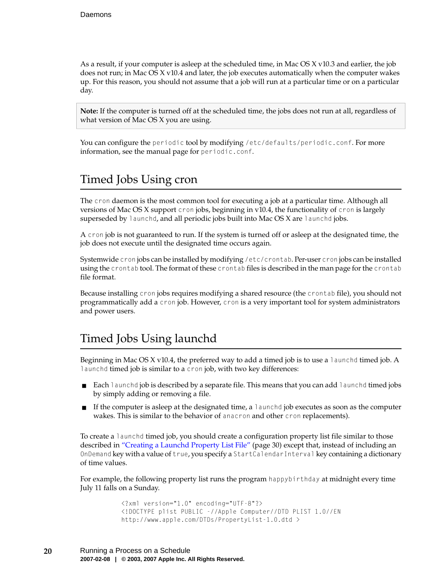As a result, if your computer is asleep at the scheduled time, in Mac OS X v10.3 and earlier, the job does not run; in Mac OS X v10.4 and later, the job executes automatically when the computer wakes up. For this reason, you should not assume that a job will run at a particular time or on a particular day.

**Note:** If the computer is turned off at the scheduled time, the jobs does not run at all, regardless of what version of Mac OS X you are using.

<span id="page-19-0"></span>You can configure the periodic tool by modifying /etc/defaults/periodic.conf. For more information, see the manual page for periodic.conf.

## Timed Jobs Using cron

The cron daemon is the most common tool for executing a job at a particular time. Although all versions of Mac OS X support cron jobs, beginning in v10.4, the functionality of cron is largely superseded by launchd, and all periodic jobs built into Mac OS  $X$  are launchd jobs.

A cron job is not guaranteed to run. If the system is turned off or asleep at the designated time, the job does not execute until the designated time occurs again.

Systemwide cron jobs can be installed by modifying /etc/crontab. Per-user cron jobs can be installed using the crontab tool. The format of these crontab files is described in the man page for the crontab file format.

<span id="page-19-1"></span>Because installing cron jobs requires modifying a shared resource (the crontab file), you should not programmatically add a cron job. However, cron is a very important tool for system administrators and power users.

## Timed Jobs Using launchd

Beginning in Mac OS  $X$  v10.4, the preferred way to add a timed job is to use a launchd timed job. A launchd timed job is similar to a cron job, with two key differences:

- Each launchd job is described by a separate file. This means that you can add launchd timed jobs by simply adding or removing a file.
- If the computer is asleep at the designated time, a launchd job executes as soon as the computer wakes. This is similar to the behavior of anacron and other cron replacements).

To create a launchd timed job, you should create a configuration property list file similar to those described in ["Creating](#page-29-0) a Launchd Property List File" (page 30) except that, instead of including an OnDemand key with a value of true, you specify a StartCalendarInterval key containing a dictionary of time values.

For example, the following property list runs the program happybirthday at midnight every time July 11 falls on a Sunday.

```
<?xml version="1.0" encoding="UTF-8"?>
<!DOCTYPE plist PUBLIC -//Apple Computer//DTD PLIST 1.0//EN
http://www.apple.com/DTDs/PropertyList-1.0.dtd >
```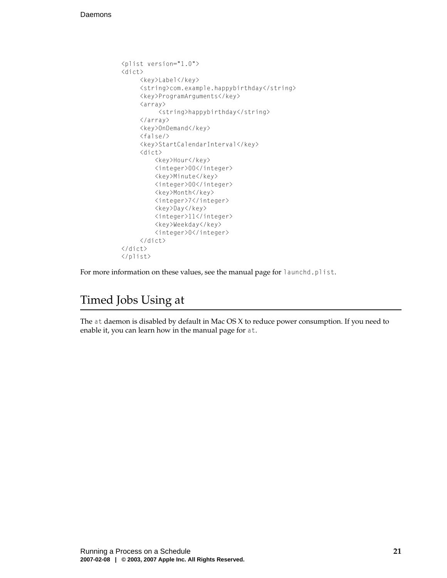```
<plist version="1.0">
<dict>
     <key>Label</key>
     <string>com.example.happybirthday</string>
     <key>ProgramArguments</key>
     \langlearray\rangle<string>happybirthday</string>
     </array>
     <key>OnDemand</key>
     <false/>
     <key>StartCalendarInterval</key>
     <dict>
         <key>Hour</key>
         <integer>00</integer>
         <key>Minute</key>
         <integer>00</integer>
         <key>Month</key>
         <integer>7</integer>
         <key>Day</key>
         <integer>11</integer>
         <key>Weekday</key>
         <integer>0</integer>
     </dict>
</dict>
</plist>
```
<span id="page-20-0"></span>For more information on these values, see the manual page for launchd.plist.

## Timed Jobs Using at

The at daemon is disabled by default in Mac OS X to reduce power consumption. If you need to enable it, you can learn how in the manual page for at.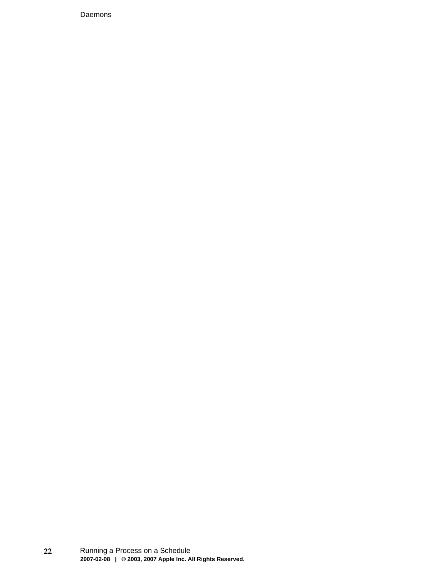Daemons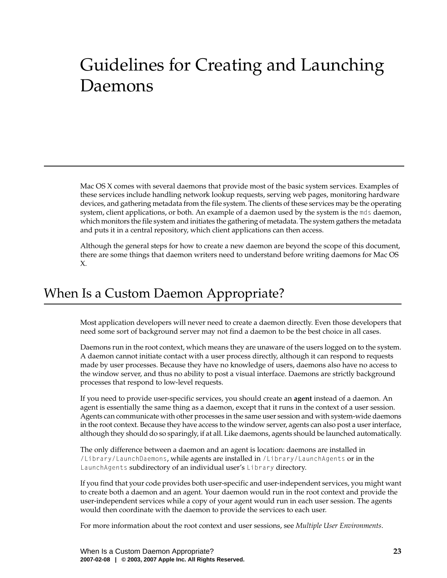# <span id="page-22-0"></span>Guidelines for Creating and Launching Daemons

<span id="page-22-4"></span>Mac OS X comes with several daemons that provide most of the basic system services. Examples of these services include handling network lookup requests, serving web pages, monitoring hardware devices, and gathering metadata from the file system. The clients of these services may be the operating system, client applications, or both. An example of a daemon used by the system is the mds daemon, which monitors the file system and initiates the gathering of metadata. The system gathers the metadata and puts it in a central repository, which client applications can then access.

Although the general steps for how to create a new daemon are beyond the scope of this document, there are some things that daemon writers need to understand before writing daemons for Mac OS X.

## <span id="page-22-1"></span>When Is a Custom Daemon Appropriate?

<span id="page-22-5"></span>Most application developers will never need to create a daemon directly. Even those developers that need some sort of background server may not find a daemon to be the best choice in all cases.

<span id="page-22-2"></span>Daemons run in the root context, which means they are unaware of the users logged on to the system. A daemon cannot initiate contact with a user process directly, although it can respond to requests made by user processes. Because they have no knowledge of users, daemons also have no access to the window server, and thus no ability to post a visual interface. Daemons are strictly background processes that respond to low-level requests.

<span id="page-22-3"></span>If you need to provide user-specific services, you should create an **agent** instead of a daemon. An agent is essentially the same thing as a daemon, except that it runs in the context of a user session. Agents can communicate with other processes in the same user session and with system-wide daemons in the root context. Because they have access to the window server, agents can also post a user interface, although theyshould do so sparingly, if at all. Like daemons, agents should be launched automatically.

<span id="page-22-6"></span>The only difference between a daemon and an agent is location: daemons are installed in /Library/LaunchDaemons, while agents are installed in /Library/LaunchAgents or in the LaunchAgents subdirectory of an individual user's Library directory.

If you find that your code provides both user-specific and user-independent services, you might want to create both a daemon and an agent. Your daemon would run in the root context and provide the user-independent services while a copy of your agent would run in each user session. The agents would then coordinate with the daemon to provide the services to each user.

For more information about the root context and user sessions, see *Multiple User Environments*.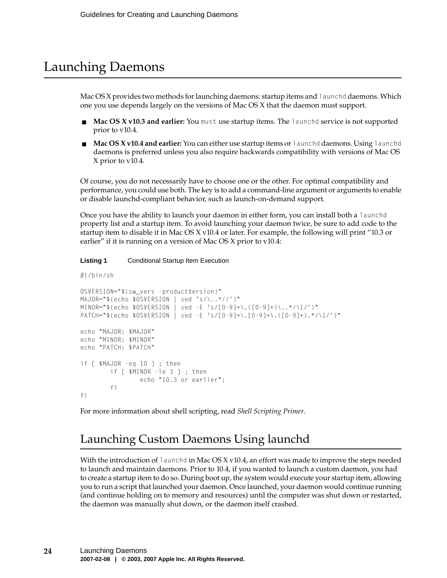## <span id="page-23-0"></span>Launching Daemons

Mac OS X provides two methods for launching daemons: startup items and launchd daemons. Which one you use depends largely on the versions of Mac OS X that the daemon must support.

- **Mac OS X v10.3 and earlier:** You must use startup items. The launchd service is not supported prior to v10.4.
- **Mac OS X v10.4 and earlier:** You can either use startup items or launchd daemons. Using launchd daemons is preferred unless you also require backwards compatibility with versions of Mac OS X prior to v10.4.

Of course, you do not necessarily have to choose one or the other. For optimal compatibility and performance, you could use both. The key is to add a command-line argument or arguments to enable or disable launchd-compliant behavior, such as launch-on-demand support.

<span id="page-23-2"></span>Once you have the ability to launch your daemon in either form, you can install both a launchd property list and a startup item. To avoid launching your daemon twice, be sure to add code to the startup item to disable it in Mac OS X v10.4 or later. For example, the following will print "10.3 or earlier" if it is running on a version of Mac OS X prior to v10.4:

#### **Listing 1** Conditional Startup Item Execution

```
#!/bin/sh
```

```
OSVERSION="$(sw_vers -productVersion)"
MAJOR="$(echo $OSVERSION | sed 's/\..*//')"
MINOR="$(echo $OSVERSION | sed -E 's/[0-9]+\.([0-9]+)\..*/\1/')"
PATCH="$(echo $OSVERSION | sed -E 's/[0-9]+\.[0-9]+\.([0-9]+).*/\1/')"
echo "MAJOR: $MAJOR"
echo "MINOR: $MINOR"
echo "PATCH: $PATCH"
if [ $MAJOR -eq 10 ] ; then
       if [ $MINOR -le 3 ] ; then
               echo "10.3 or earlier";
        fi
fi
```
<span id="page-23-3"></span><span id="page-23-1"></span>For more information about shell scripting, read *Shell Scripting Primer*.

## Launching Custom Daemons Using launchd

With the introduction of launchd in Mac OS X v10.4, an effort was made to improve the steps needed to launch and maintain daemons. Prior to 10.4, if you wanted to launch a custom daemon, you had to create a startup item to do so. During boot up, the system would execute your startup item, allowing you to run a script that launched your daemon. Once launched, your daemon would continue running (and continue holding on to memory and resources) until the computer was shut down or restarted, the daemon was manually shut down, or the daemon itself crashed.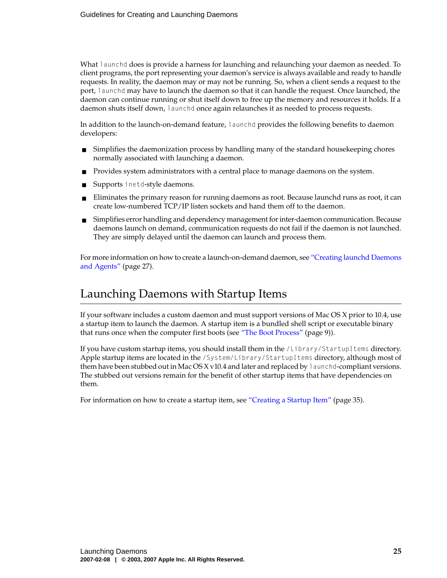<span id="page-24-3"></span>What launchd does is provide a harness for launching and relaunching your daemon as needed. To client programs, the port representing your daemon's service is always available and ready to handle requests. In reality, the daemon may or may not be running. So, when a client sends a request to the port, launchd may have to launch the daemon so that it can handle the request. Once launched, the daemon can continue running or shut itself down to free up the memory and resources it holds. If a daemon shuts itself down, launchd once again relaunches it as needed to process requests.

In addition to the launch-on-demand feature, launchd provides the following benefits to daemon developers:

- Simplifies the daemonization process by handling many of the standard housekeeping chores normally associated with launching a daemon.
- <span id="page-24-2"></span>Provides system administrators with a central place to manage daemons on the system.
- Supports inetd-style daemons.
- Eliminates the primary reason for running daemons as root. Because launchd runs as root, it can create low-numbered TCP/IP listen sockets and hand them off to the daemon.
- Simplifies error handling and dependency management for inter-daemon communication. Because daemons launch on demand, communication requests do not fail if the daemon is not launched. They are simply delayed until the daemon can launch and process them.

<span id="page-24-0"></span>For more information on how to create a launch-on-demand daemon, see "Creating launchd Daemons and [Agents"](#page-26-0) (page 27).

## <span id="page-24-1"></span>Launching Daemons with Startup Items

<span id="page-24-4"></span>If your software includes a custom daemon and must support versions of Mac OS X prior to 10.4, use a startup item to launch the daemon. A startup item is a bundled shell script or executable binary that runs once when the computer first boots (see "The Boot [Process"](#page-8-0) (page 9)).

If you have custom startup items, you should install them in the /Library/StartupItems directory. Apple startup items are located in the /System/Library/StartupItems directory, although most of them have been stubbed out in Mac OS X v10.4 and later and replaced by launchd-compliant versions. The stubbed out versions remain for the benefit of other startup items that have dependencies on them.

For information on how to create a startup item, see ["Creating](#page-34-0) a Startup Item" (page 35).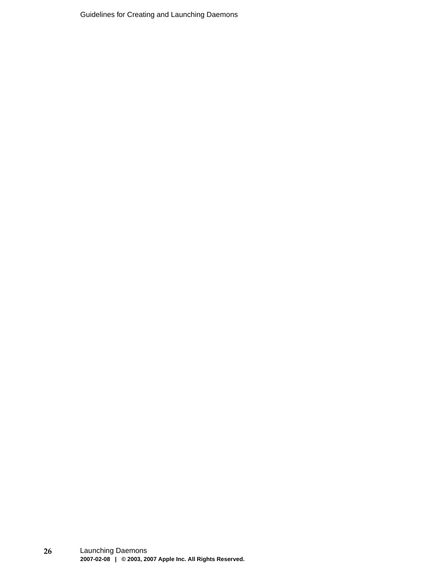Guidelines for Creating and Launching Daemons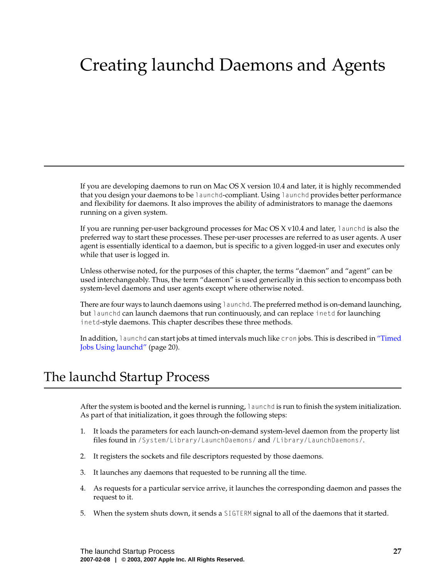# <span id="page-26-0"></span>Creating launchd Daemons and Agents

If you are developing daemons to run on Mac OS X version 10.4 and later, it is highly recommended that you design your daemons to be launchd-compliant. Using launchd provides better performance and flexibility for daemons. It also improves the ability of administrators to manage the daemons running on a given system.

If you are running per-user background processes for Mac OS X v10.4 and later, launchd is also the preferred way to start these processes. These per-user processes are referred to as user agents. A user agent is essentially identical to a daemon, but is specific to a given logged-in user and executes only while that user is logged in.

Unless otherwise noted, for the purposes of this chapter, the terms "daemon" and "agent" can be used interchangeably. Thus, the term "daemon" is used generically in this section to encompass both system-level daemons and user agents except where otherwise noted.

There are four ways to launch daemons using launchd. The preferred method is on-demand launching, but launchd can launch daemons that run continuously, and can replace inetd for launching inetd-style daemons. This chapter describes these three methods.

<span id="page-26-2"></span>In addition, launchd can start jobs at timed intervals much like cron jobs. This is described in ["Timed](#page-19-1) Jobs Using [launchd"](#page-19-1) (page 20).

## <span id="page-26-1"></span>The launchd Startup Process

After the system is booted and the kernel is running, launchd is run to finish the system initialization. As part of that initialization, it goes through the following steps:

- 1. It loads the parameters for each launch-on-demand system-level daemon from the property list files found in /System/Library/LaunchDaemons/ and /Library/LaunchDaemons/.
- 2. It registers the sockets and file descriptors requested by those daemons.
- 3. It launches any daemons that requested to be running all the time.
- 4. As requests for a particular service arrive, it launches the corresponding daemon and passes the request to it.
- 5. When the system shuts down, it sends a SIGTERM signal to all of the daemons that it started.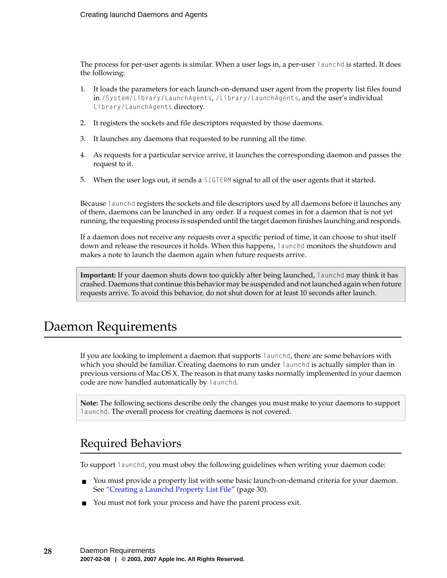The process for per-user agents is similar. When a user logs in, a per-user launchd is started. It does the following:

- 1. It loads the parameters for each launch-on-demand user agent from the property list files found in /System/Library/LaunchAgents, /Library/LaunchAgents, and the user's individual Library/LaunchAgents directory.
- 2. It registers the sockets and file descriptors requested by those daemons.
- 3. It launches any daemons that requested to be running all the time.
- 4. As requests for a particular service arrive, it launches the corresponding daemon and passes the request to it.
- 5. When the user logs out, it sends a SIGTERM signal to all of the user agents that it started.

Because launchd registers the sockets and file descriptors used by all daemons before it launches any of them, daemons can be launched in any order. If a request comes in for a daemon that is not yet running, the requesting process is suspended until the target daemon finishes launching and responds.

If a daemon does not receive any requests over a specific period of time, it can choose to shut itself down and release the resources it holds. When this happens, launchd monitors the shutdown and makes a note to launch the daemon again when future requests arrive.

**Important:** If your daemon shuts down too quickly after being launched, launchd may think it has crashed. Daemons that continue this behavior maybe suspended and not launched againwhen future requests arrive. To avoid this behavior, do not shut down for at least 10 seconds after launch.

## <span id="page-27-0"></span>Daemon Requirements

If you are looking to implement a daemon that supports launchd, there are some behaviors with which you should be familiar. Creating daemons to run under launchd is actually simpler than in previous versions of Mac OS X. The reason is that many tasks normally implemented in your daemon code are now handled automatically by launchd.

<span id="page-27-3"></span><span id="page-27-1"></span>**Note:** The following sections describe only the changes you must make to your daemons to support launchd. The overall process for creating daemons is not covered.

## <span id="page-27-2"></span>Required Behaviors

To support launchd, you must obey the following guidelines when writing your daemon code:

- You must provide a property list with some basic launch-on-demand criteria for your daemon. See ["Creating](#page-29-0) a Launchd Property List File" (page 30).
- You must not fork your process and have the parent process exit.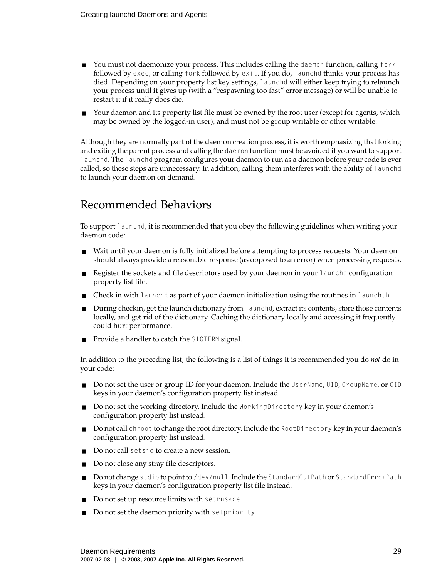- <span id="page-28-1"></span>■ You must not daemonize your process. This includes calling the daemon function, calling for k followed by exec, or calling fork followed by exit. If you do, launchd thinks your process has died. Depending on your property list key settings, launchd will either keep trying to relaunch your process until it gives up (with a "respawning too fast" error message) or will be unable to restart it if it really does die.
- Your daemon and its property list file must be owned by the root user (except for agents, which may be owned by the logged-in user), and must not be group writable or other writable.

Although they are normally part of the daemon creation process, it is worth emphasizing that forking and exiting the parent process and calling the daemon function must be avoided if you want to support launchd. The launchd program configures your daemon to run as a daemon before your code is ever called, so these steps are unnecessary. In addition, calling them interferes with the ability of launchd to launch your daemon on demand.

## <span id="page-28-3"></span><span id="page-28-0"></span>Recommended Behaviors

<span id="page-28-2"></span>To support launchd, it is recommended that you obey the following guidelines when writing your daemon code:

- Wait until your daemon is fully initialized before attempting to process requests. Your daemon should always provide a reasonable response (as opposed to an error) when processing requests.
- <span id="page-28-5"></span>■ Register the sockets and file descriptors used by your daemon in your launchd configuration property list file.
- Check in with launchd as part of your daemon initialization using the routines in launch.h.
- <span id="page-28-8"></span>During checkin, get the launch dictionary from launchd, extract its contents, store those contents locally, and get rid of the dictionary. Caching the dictionary locally and accessing it frequently could hurt performance.
- <span id="page-28-4"></span>Provide a handler to catch the SIGTERM signal.

<span id="page-28-9"></span>In addition to the preceding list, the following is a list of things it is recommended you do *not* do in your code:

- <span id="page-28-7"></span>Do not set the user or group ID for your daemon. Include the UserName, UID, GroupName, or GID keys in your daemon's configuration property list instead.
- Do not set the working directory. Include the WorkingDirectory key in your daemon's configuration property list instead.
- Do not call chroot to change the root directory. Include the RootDirectory key in your daemon's configuration property list instead.
- <span id="page-28-6"></span>■ Do not call setsid to create a new session.
- Do not close any stray file descriptors.
- Do not change stdio to point to /dev/null. Include the StandardOutPath or StandardErrorPath keys in your daemon's configuration property list file instead.
- Do not set up resource limits with setrusage.
- Do not set the daemon priority with setpriority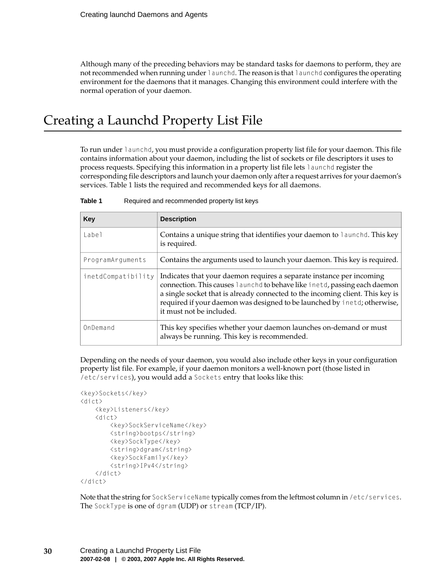Although many of the preceding behaviors may be standard tasks for daemons to perform, they are not recommended when running under launchd. The reason is that launchd configures the operating environment for the daemons that it manages. Changing this environment could interfere with the normal operation of your daemon.

# <span id="page-29-0"></span>Creating a Launchd Property List File

<span id="page-29-2"></span>To run under launchd, you must provide a configuration property list file for your daemon. This file contains information about your daemon, including the list of sockets or file descriptors it uses to process requests. Specifying this information in a property list file lets launchd register the corresponding file descriptors and launch your daemon only after a request arrives for your daemon's services. Table 1 lists the required and recommended keys for all daemons.

| <b>Key</b>         | <b>Description</b>                                                                                                                                                                                                                                                                                                                         |
|--------------------|--------------------------------------------------------------------------------------------------------------------------------------------------------------------------------------------------------------------------------------------------------------------------------------------------------------------------------------------|
| label              | Contains a unique string that identifies your daemon to launchd. This key<br>is required.                                                                                                                                                                                                                                                  |
| ProgramArguments   | Contains the arguments used to launch your daemon. This key is required.                                                                                                                                                                                                                                                                   |
| inetdCompatibility | Indicates that your daemon requires a separate instance per incoming<br>connection. This causes launchd to behave like inetd, passing each daemon<br>a single socket that is already connected to the incoming client. This key is<br>required if your daemon was designed to be launched by inetd; otherwise,<br>it must not be included. |
| OnDemand           | This key specifies whether your daemon launches on-demand or must<br>always be running. This key is recommended.                                                                                                                                                                                                                           |

<span id="page-29-1"></span>

| Table 1 |  | Required and recommended property list keys |  |  |
|---------|--|---------------------------------------------|--|--|
|---------|--|---------------------------------------------|--|--|

Depending on the needs of your daemon, you would also include other keys in your configuration property list file. For example, if your daemon monitors a well-known port (those listed in /etc/services), you would add a Sockets entry that looks like this:

```
<key>Sockets</key>
<dict>
   <key>Listeners</key>
    <dict>
        <key>SockServiceName</key>
        <string>bootps</string>
        <key>SockType</key>
        <string>dgram</string>
        <key>SockFamily</key>
        <string>IPv4</string>
    </dict>
</dict>
```
Note that the string for SockServiceName typically comes from the leftmost column in /etc/services. The SockType is one of dgram (UDP) or stream (TCP/IP).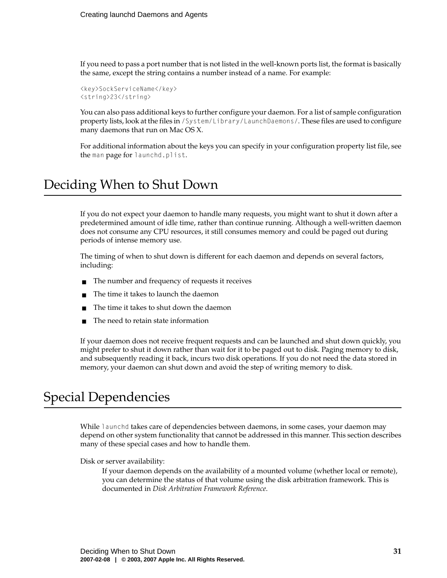If you need to pass a port number that is not listed in the well-known ports list, the format is basically the same, except the string contains a number instead of a name. For example:

<key>SockServiceName</key> <string>23</string>

You can also pass additional keys to further configure your daemon. For a list of sample configuration propertylists, lookat the files in /System/Library/LaunchDaemons/. These files are used to configure many daemons that run on Mac OS X.

For additional information about the keys you can specify in your configuration property list file, see the man page for launchd.plist.

## <span id="page-30-0"></span>Deciding When to Shut Down

<span id="page-30-2"></span>If you do not expect your daemon to handle many requests, you might want to shut it down after a predetermined amount of idle time, rather than continue running. Although a well-written daemon does not consume any CPU resources, it still consumes memory and could be paged out during periods of intense memory use.

The timing of when to shut down is different for each daemon and depends on several factors, including:

- The number and frequency of requests it receives
- The time it takes to launch the daemon
- The time it takes to shut down the daemon
- The need to retain state information

If your daemon does not receive frequent requests and can be launched and shut down quickly, you might prefer to shut it down rather than wait for it to be paged out to disk. Paging memory to disk, and subsequently reading it back, incurs two disk operations. If you do not need the data stored in memory, your daemon can shut down and avoid the step of writing memory to disk.

## <span id="page-30-1"></span>Special Dependencies

While launchd takes care of dependencies between daemons, in some cases, your daemon may depend on other system functionality that cannot be addressed in this manner. This section describes many of these special cases and how to handle them.

Disk or server availability:

If your daemon depends on the availability of a mounted volume (whether local or remote), you can determine the status of that volume using the disk arbitration framework. This is documented in *Disk Arbitration Framework Reference*.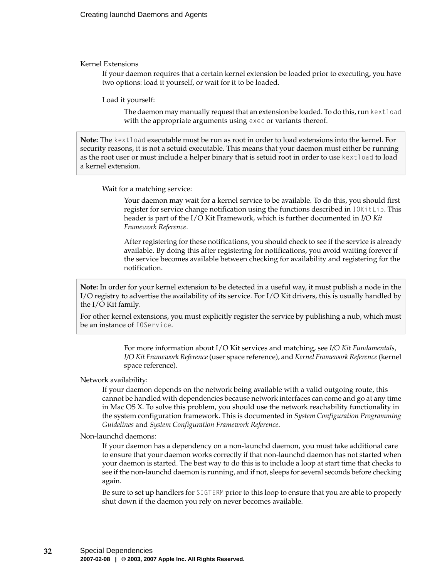#### Kernel Extensions

If your daemon requires that a certain kernel extension be loaded prior to executing, you have two options: load it yourself, or wait for it to be loaded.

#### Load it yourself:

The daemon may manually request that an extension be loaded. To do this, run kextload with the appropriate arguments using exec or variants thereof.

**Note:** The kextload executable must be run as root in order to load extensions into the kernel. For security reasons, it is not a setuid executable. This means that your daemon must either be running as the root user or must include a helper binary that is setuid root in order to use kextload to load a kernel extension.

Wait for a matching service:

Your daemon may wait for a kernel service to be available. To do this, you should first register for service change notification using the functions described in IOKitLib. This header is part of the I/O Kit Framework, which is further documented in *I/O Kit Framework Reference*.

After registering for these notifications, you should check to see if the service is already available. By doing this after registering for notifications, you avoid waiting forever if the service becomes available between checking for availability and registering for the notification.

**Note:** In order for your kernel extension to be detected in a useful way, it must publish a node in the I/O registry to advertise the availability of its service. For I/O Kit drivers, this is usually handled by the I/O Kit family.

For other kernel extensions, you must explicitly register the service by publishing a nub, which must be an instance of IOService.

> For more information about I/O Kit services and matching, see *I/O Kit Fundamentals*, *I/O Kit Framework Reference* (user space reference), and *Kernel Framework Reference* (kernel space reference).

#### Network availability:

If your daemon depends on the network being available with a valid outgoing route, this cannot be handled with dependencies because network interfaces can come and go at any time in Mac OS X. To solve this problem, you should use the network reachability functionality in the system configuration framework. This is documented in *System Configuration Programming Guidelines* and *System Configuration Framework Reference*.

Non-launchd daemons:

If your daemon has a dependency on a non-launchd daemon, you must take additional care to ensure that your daemon works correctly if that non-launchd daemon has not started when your daemon is started. The best way to do this is to include a loop at start time that checks to see if the non-launchd daemon is running, and if not, sleeps for several seconds before checking again.

Be sure to set up handlers for SIGTERM prior to this loop to ensure that you are able to properly shut down if the daemon you rely on never becomes available.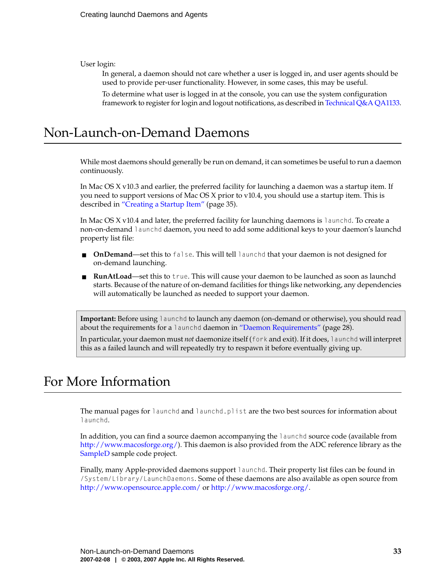User login:

In general, a daemon should not care whether a user is logged in, and user agents should be used to provide per-user functionality. However, in some cases, this may be useful.

To determine what user is logged in at the console, you can use the system configuration framework to register for login and logout notifications, as described in [Technical](http://developer.apple.com/qa/qa2001/qa1133.html) Q&A QA1133.

## <span id="page-32-0"></span>Non-Launch-on-Demand Daemons

While most daemons should generallybe run on demand, it can sometimes be useful to run a daemon continuously.

In Mac OS X v10.3 and earlier, the preferred facility for launching a daemon was a startup item. If you need to support versions of Mac OS X prior to v10.4, you should use a startup item. This is described in ["Creating](#page-34-0) a Startup Item" (page 35).

In Mac OS X v10.4 and later, the preferred facility for launching daemons is launchd. To create a non-on-demand launchd daemon, you need to add some additional keys to your daemon's launchd property list file:

- **OnDemand—set this to false. This will tell launchd that your daemon is not designed for** on-demand launching.
- **RunAtLoad**—set this to true. This will cause your daemon to be launched as soon as launchd starts. Because of the nature of on-demand facilities for things like networking, any dependencies will automatically be launched as needed to support your daemon.

Important: Before using launchd to launch any daemon (on-demand or otherwise), you should read about the requirements for a launchd daemon in "Daemon [Requirements"](#page-27-0) (page 28).

In particular,your daemon must*not* daemonize itself (fork and exit). If it does, launchdwill interpret this as a failed launch and will repeatedly try to respawn it before eventually giving up.

# <span id="page-32-1"></span>For More Information

The manual pages for launchd and launchd.plist are the two best sources for information about launchd.

In addition, you can find a source daemon accompanying the launchd source code (available from [http://www.macosforge.org/\)](http://www.macosforge.org/). This daemon is also provided from the ADC reference library as the [SampleD](http://developer.apple.com/samplecode/SampleD/index.html) sample code project.

Finally, many Apple-provided daemons support launchd. Their property list files can be found in /System/Library/LaunchDaemons. Some of these daemons are also available as open source from <http://www.opensource.apple.com/> or <http://www.macosforge.org/>.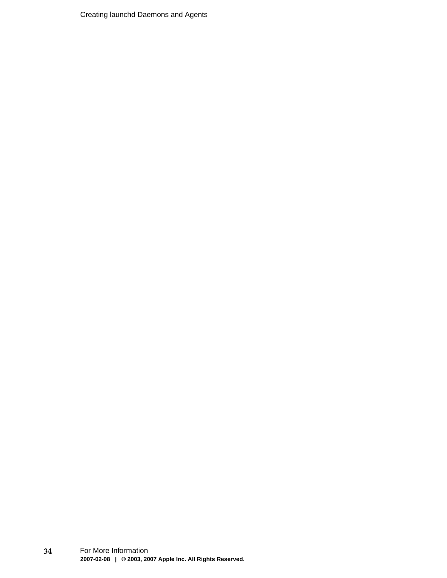Creating launchd Daemons and Agents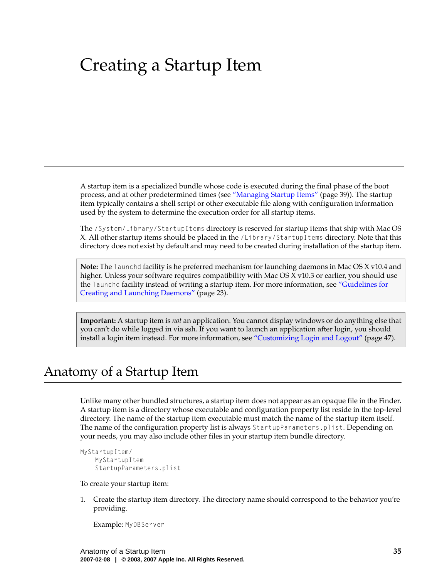# <span id="page-34-0"></span>Creating a Startup Item

A startup item is a specialized bundle whose code is executed during the final phase of the boot process, and at other predetermined times (see ["Managing](#page-38-0) Startup Items" (page 39)). The startup item typically contains a shell script or other executable file along with configuration information used by the system to determine the execution order for all startup items.

The /System/Library/StartupItems directory is reserved for startup items that ship with Mac OS X. All other startup items should be placed in the /Library/StartupItems directory. Note that this directory does not exist by default and may need to be created during installation of the startup item.

**Note:** The launchd facility is he preferred mechanism for launching daemons in Mac OS X v10.4 and higher. Unless your software requires compatibility with Mac OS X v10.3 or earlier, you should use the launchd facility instead of writing a startup item. For more information, see ["Guidelines](#page-22-0) for Creating and [Launching](#page-22-0) Daemons" (page 23).

**Important:** A startup item is *not* an application. You cannot display windows or do anything else that you can't do while logged in via ssh. If you want to launch an application after login, you should install a login item instead. For more information, see ["Customizing](#page-46-0) Login and Logout" (page 47).

## <span id="page-34-1"></span>Anatomy of a Startup Item

Unlike many other bundled structures, a startup item does not appear as an opaque file in the Finder. A startup item is a directory whose executable and configuration property list reside in the top-level directory. The name of the startup item executable must match the name of the startup item itself. The name of the configuration property list is always StartupParameters.plist. Depending on your needs, you may also include other files in your startup item bundle directory.

```
MyStartupItem/
   MyStartupItem
   StartupParameters.plist
```
To create your startup item:

1. Create the startup item directory. The directory name should correspond to the behavior you're providing.

```
Example: MyDBServer
```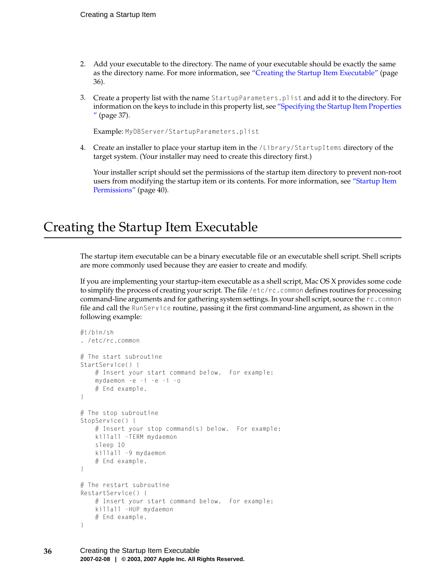- 2. Add your executable to the directory. The name of your executable should be exactly the same as the directory name. For more information, see "Creating the Startup Item [Executable"](#page-35-0) (page 36).
- <span id="page-35-2"></span>3. Create a property list with the name StartupParameters.plist and add it to the directory. For information on the keys to include in this property list, see "Specifying the Startup Item Properties ["](#page-36-0) (page 37).

Example: MyDBServer/StartupParameters.plist

4. Create an installer to place your startup item in the /Library/StartupItems directory of the target system. (Your installer may need to create this directory first.)

Your installer script should set the permissions of the startup item directory to prevent non-root users from modifying the startup item or its contents. For more information, see ["Startup](#page-39-0) Item [Permissions"](#page-39-0) (page 40).

## <span id="page-35-0"></span>Creating the Startup Item Executable

<span id="page-35-1"></span>The startup item executable can be a binary executable file or an executable shell script. Shell scripts are more commonly used because they are easier to create and modify.

If you are implementing your startup-item executable as a shell script, Mac OS X provides some code to simplifythe process of creatingyour script. The file /etc/rc.common defines routines for processing command-line arguments and for gathering system settings. In your shell script, source the rc.common file and call the RunService routine, passing it the first command-line argument, as shown in the following example:

```
#!/bin/sh
. /etc/rc.common
# The start subroutine
StartService() {
   # Insert your start command below. For example:
   mydaemon -e -i -e -i -o
   # End example.
}
# The stop subroutine
StopService() {
   # Insert your stop command(s) below. For example:
   killall -TERM mydaemon
   sleep 10
   killall -9 mydaemon
   # End example.
}
# The restart subroutine
RestartService() {
   # Insert your start command below. For example:
   killall -HUP mydaemon
   # End example.
}
```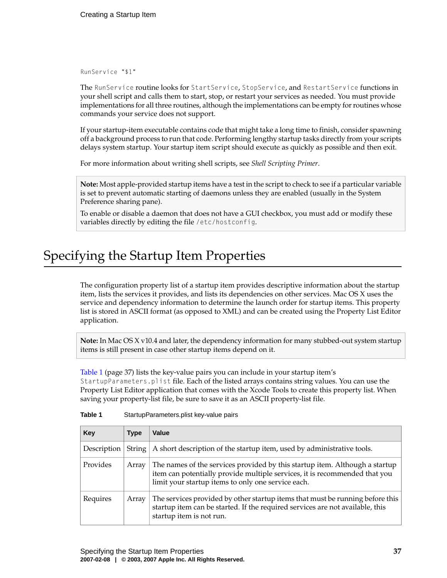RunService "\$1"

The RunService routine looks for StartService, StopService, and RestartService functions in your shell script and calls them to start, stop, or restart your services as needed. You must provide implementations for all three routines, although the implementations can be empty for routines whose commands your service does not support.

If your startup-item executable contains code that might take a long time to finish, consider spawning off a background process to run that code. Performing lengthy startup tasks directly from your scripts delays system startup. Your startup item script should execute as quickly as possible and then exit.

For more information about writing shell scripts, see *Shell Scripting Primer*.

Note: Most apple-provided startup items have a test in the script to check to see if a particular variable is set to prevent automatic starting of daemons unless they are enabled (usually in the System Preference sharing pane).

To enable or disable a daemon that does not have a GUI checkbox, you must add or modify these variables directly by editing the file /etc/hostconfig.

# <span id="page-36-2"></span><span id="page-36-0"></span>Specifying the Startup Item Properties

<span id="page-36-4"></span>The configuration property list of a startup item provides descriptive information about the startup item, lists the services it provides, and lists its dependencies on other services. Mac OS X uses the service and dependency information to determine the launch order for startup items. This property list is stored in ASCII format (as opposed to XML) and can be created using the Property List Editor application.

<span id="page-36-3"></span>**Note:** In Mac OS X v10.4 and later, the dependency information for many stubbed-out system startup items is still present in case other startup items depend on it.

<span id="page-36-1"></span>[Table](#page-36-1) 1 (page 37) lists the key-value pairs you can include in your startup item's StartupParameters.plist file. Each of the listed arrays contains string values. You can use the Property List Editor application that comes with the Xcode Tools to create this property list. When saving your property-list file, be sure to save it as an ASCII property-list file.

|  | Table 1 | StartupParameters.plist key-value pairs |  |
|--|---------|-----------------------------------------|--|
|--|---------|-----------------------------------------|--|

| Key         | <b>Type</b> | Value                                                                                                                                                                                                           |
|-------------|-------------|-----------------------------------------------------------------------------------------------------------------------------------------------------------------------------------------------------------------|
| Description | String      | A short description of the startup item, used by administrative tools.                                                                                                                                          |
| Provides    | Array       | The names of the services provided by this startup item. Although a startup<br>item can potentially provide multiple services, it is recommended that you<br>limit your startup items to only one service each. |
| Requires    | Array       | The services provided by other startup items that must be running before this<br>startup item can be started. If the required services are not available, this<br>startup item is not run.                      |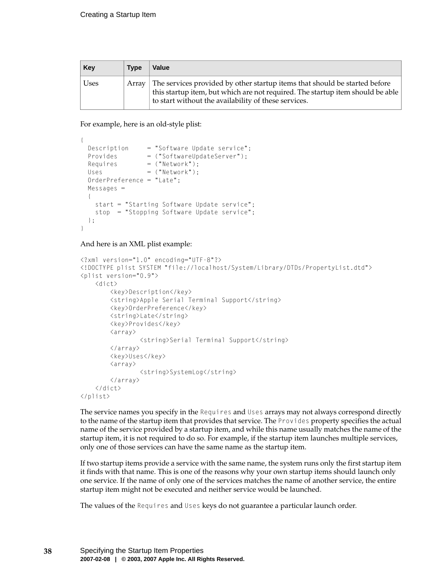| Key  | <b>Type</b> | Value                                                                                                                                                                                                                |
|------|-------------|----------------------------------------------------------------------------------------------------------------------------------------------------------------------------------------------------------------------|
| Uses | Arrav       | The services provided by other startup items that should be started before<br>this startup item, but which are not required. The startup item should be able<br>to start without the availability of these services. |

For example, here is an old-style plist:

```
{
 Description = "Software Update service";
 Provides = ("SoftwareUpdateServer");
 Required = ("Network");UseS = ("Network");
 OrderPreference = "Late";
 Messages ={
   start = "Starting Software Update service";
   stop = "Stopping Software Update service";
 };
}
```
#### And here is an XML plist example:

```
<?xml version="1.0" encoding="UTF-8"?>
<!DOCTYPE plist SYSTEM "file://localhost/System/Library/DTDs/PropertyList.dtd">
<plist version="0.9">
    <dict>
        <key>Description</key>
        <string>Apple Serial Terminal Support</string>
        <key>OrderPreference</key>
        <string>Late</string>
        <key>Provides</key>
        <array>
                <string>Serial Terminal Support</string>
        </array>
        <key>Uses</key>
        \langlearray\rangle<string>SystemLog</string>
        </array>
    </dict>
</plist>
```
<span id="page-37-0"></span>The service names you specify in the Requires and Uses arrays may not always correspond directly to the name of the startup item that provides that service. The Provides property specifies the actual name of the service provided by a startup item, and while this name usually matches the name of the startup item, it is not required to do so. For example, if the startup item launches multiple services, only one of those services can have the same name as the startup item.

If two startup items provide a service with the same name, the system runs only the first startup item it finds with that name. This is one of the reasons why your own startup items should launch only one service. If the name of only one of the services matches the name of another service, the entire startup item might not be executed and neither service would be launched.

The values of the Requires and Uses keys do not guarantee a particular launch order.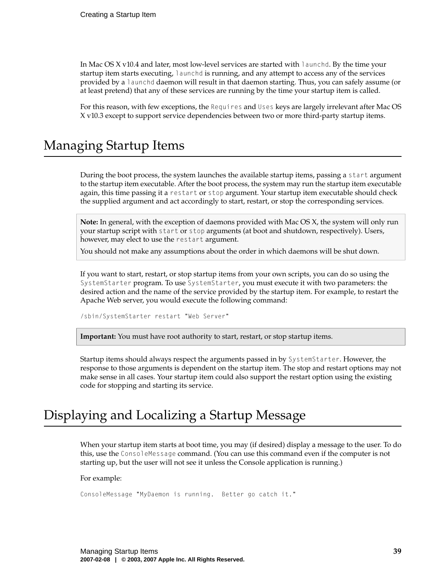In Mac OS X v10.4 and later, most low-level services are started with launchd. By the time your startup item starts executing, launchd is running, and any attempt to access any of the services provided by a launchd daemon will result in that daemon starting. Thus, you can safely assume (or at least pretend) that any of these services are running by the time your startup item is called.

For this reason, with few exceptions, the Requires and Uses keys are largely irrelevant after Mac OS X v10.3 except to support service dependencies between two or more third-party startup items.

## <span id="page-38-0"></span>Managing Startup Items

<span id="page-38-2"></span>During the boot process, the system launches the available startup items, passing a start argument to the startup item executable. After the boot process, the system may run the startup item executable again, this time passing it a restart or stop argument. Your startup item executable should check the supplied argument and act accordingly to start, restart, or stop the corresponding services.

**Note:** In general, with the exception of daemons provided with Mac OS X, the system will only run your startup script with start or stop arguments (at boot and shutdown, respectively). Users, however, may elect to use the restart argument.

You should not make any assumptions about the order in which daemons will be shut down.

If you want to start, restart, or stop startup items from your own scripts, you can do so using the SystemStarter program. To use SystemStarter, you must execute it with two parameters: the desired action and the name of the service provided by the startup item. For example, to restart the Apache Web server, you would execute the following command:

/sbin/SystemStarter restart "Web Server"

**Important:** You must have root authority to start, restart, or stop startup items.

Startup items should always respect the arguments passed in by SystemStarter. However, the response to those arguments is dependent on the startup item. The stop and restart options may not make sense in all cases. Your startup item could also support the restart option using the existing code for stopping and starting its service.

## <span id="page-38-1"></span>Displaying and Localizing a Startup Message

When your startup item starts at boot time, you may (if desired) display a message to the user. To do this, use the ConsoleMessage command. (You can use this command even if the computer is not starting up, but the user will not see it unless the Console application is running.)

#### For example:

ConsoleMessage "MyDaemon is running. Better go catch it."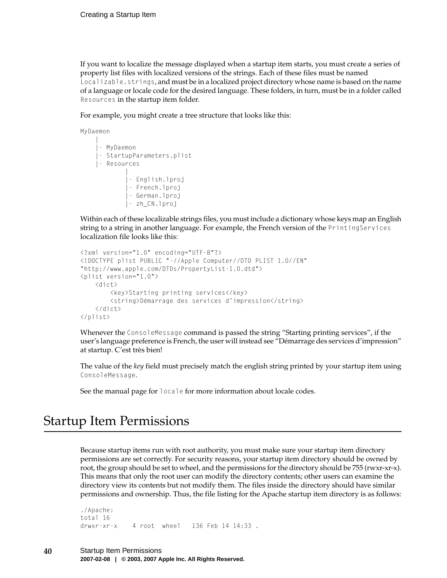If you want to localize the message displayed when a startup item starts, you must create a series of property list files with localized versions of the strings. Each of these files must be named Localizable.strings, and must be in a localized project directory whose name is based on the name of a language or locale code for the desired language. These folders, in turn, must be in a folder called Resources in the startup item folder.

For example, you might create a tree structure that looks like this:

MyDaemon

```
|
|- MyDaemon
|- StartupParameters.plist
|- Resources
        |
        |- English.lproj
        |- French.lproj
        |- German.lproj
        |- zh_CN.lproj
```
Within each of these localizable strings files, you must include a dictionary whose keys map an English string to a string in another language. For example, the French version of the PrintingServices localization file looks like this:

```
<?xml version="1.0" encoding="UTF-8"?>
<!DOCTYPE plist PUBLIC "-//Apple Computer//DTD PLIST 1.0//EN"
"http://www.apple.com/DTDs/PropertyList-1.0.dtd">
<plist version="1.0">
   <dict>
       <key>Starting printing services</key>
       <string>Démarrage des services d'impression</string>
   </dict>
</plist>
```
Whenever the ConsoleMessage command is passed the string "Starting printing services", if the user's language preference is French, the user will instead see "Démarrage des services d'impression" at startup. C'est très bien!

<span id="page-39-0"></span>The value of the *key* field must precisely match the english string printed by your startup item using ConsoleMessage.

See the manual page for locale for more information about locale codes.

## Startup Item Permissions

Because startup items run with root authority, you must make sure your startup item directory permissions are set correctly. For security reasons, your startup item directory should be owned by root, the group should be set to wheel, and the permissions for the directory should be 755 (rwxr-xr-x). This means that only the root user can modify the directory contents; other users can examine the directory view its contents but not modify them. The files inside the directory should have similar permissions and ownership. Thus, the file listing for the Apache startup item directory is as follows:

```
./Apache:
total 16
drwxr-xr-x 4 root wheel 136 Feb 14 14:33 .
```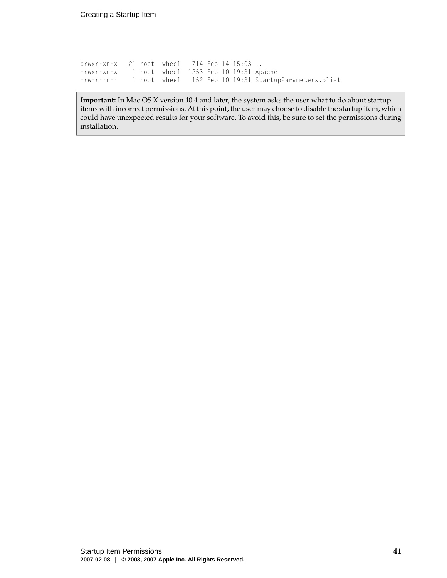drwxr-xr-x 21 root wheel 714 Feb 14 15:03 .. -rwxr-xr-x 1 root wheel 1253 Feb 10 19:31 Apache -rw-r--r-- 1 root wheel 152 Feb 10 19:31 StartupParameters.plist

**Important:** In Mac OS X version 10.4 and later, the system asks the user what to do about startup items with incorrect permissions. At this point, the user may choose to disable the startup item, which could have unexpected results for your software. To avoid this, be sure to set the permissions during installation.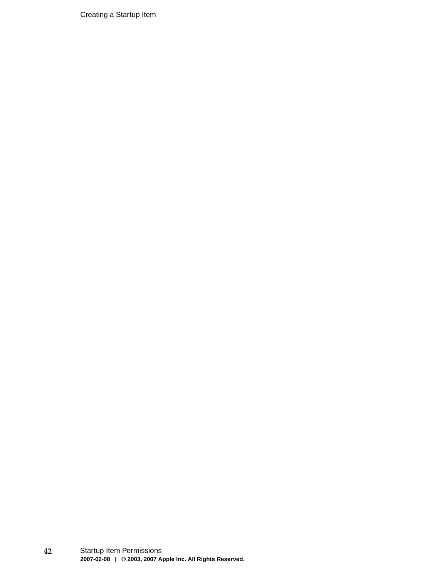Creating a Startup Item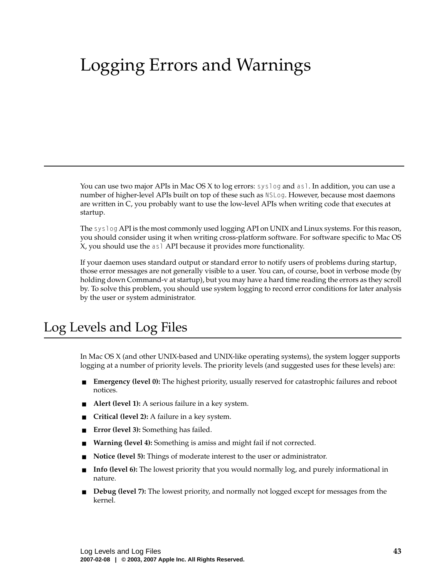# <span id="page-42-0"></span>Logging Errors and Warnings

You can use two major APIs in Mac OS X to log errors: syslog and asl. In addition, you can use a number of higher-level APIs built on top of these such as NSLog. However, because most daemons are written in C, you probably want to use the low-level APIs when writing code that executes at startup.

The syslog API is the most commonly used logging API on UNIX and Linux systems. For this reason, you should consider using it when writing cross-platform software. For software specific to Mac OS X, you should use the asl API because it provides more functionality.

If your daemon uses standard output or standard error to notify users of problems during startup, those error messages are not generally visible to a user. You can, of course, boot in verbose mode (by holding down Command-v at startup), but you may have a hard time reading the errors as they scroll by. To solve this problem, you should use system logging to record error conditions for later analysis by the user or system administrator.

## <span id="page-42-1"></span>Log Levels and Log Files

In Mac OS X (and other UNIX-based and UNIX-like operating systems), the system logger supports logging at a number of priority levels. The priority levels (and suggested uses for these levels) are:

- **Emergency (level 0):** The highest priority, usually reserved for catastrophic failures and reboot notices.
- **Alert (level 1):** A serious failure in a key system.
- **Critical (level 2):** A failure in a key system.
- **Error** (level 3): Something has failed.
- **Warning (level 4):** Something is amiss and might fail if not corrected.
- **Notice (level 5):** Things of moderate interest to the user or administrator.
- **Info** (level 6): The lowest priority that you would normally log, and purely informational in nature.
- **Debug** (level 7): The lowest priority, and normally not logged except for messages from the kernel.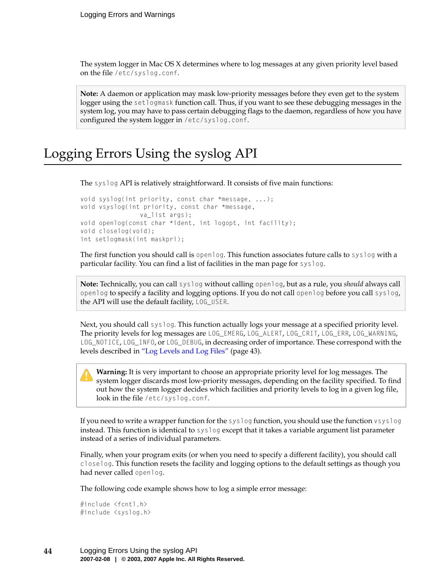The system logger in Mac OS X determines where to log messages at any given priority level based on the file /etc/syslog.conf.

**Note:** A daemon or application may mask low-priority messages before they even get to the system logger using the setlogmask function call. Thus, if you want to see these debugging messages in the system log, you may have to pass certain debugging flags to the daemon, regardless of how you have configured the system logger in /etc/syslog.conf.

## <span id="page-43-0"></span>Logging Errors Using the syslog API

The syslog API is relatively straightforward. It consists of five main functions:

```
void syslog(int priority, const char *message, ...);
void vsyslog(int priority, const char *message,
               va_list args);
void openlog(const char *ident, int logopt, int facility);
void closelog(void);
int setlogmask(int maskpri);
```
The first function you should call is openlog. This function associates future calls to syslog with a particular facility. You can find a list of facilities in the man page for syslog.

**Note:** Technically, you can call syslog without calling openlog, but as a rule, you *should* always call openlog to specify a facility and logging options. If you do not call openlog before you call syslog, the API will use the default facility, LOG\_USER.

Next, you should call syslog. This function actually logs your message at a specified priority level. The priority levels for log messages are LOG\_EMERG, LOG\_ALERT, LOG\_CRIT, LOG\_ERR, LOG\_WARNING, LOG\_NOTICE, LOG\_INFO, or LOG\_DEBUG, in decreasing order of importance. These correspond with the levels described in "Log [Levels](#page-42-1) and Log Files" (page 43).

**Warning:** It is very important to choose an appropriate priority level for log messages. The system logger discards most low-priority messages, depending on the facility specified. To find out how the system logger decides which facilities and priority levels to log in a given log file, look in the file /etc/syslog.conf.

If you need to write a wrapper function for the syslog function, you should use the function vsyslog instead. This function is identical to syslog except that it takes a variable argument list parameter instead of a series of individual parameters.

Finally, when your program exits (or when you need to specify a different facility), you should call closelog. This function resets the facility and logging options to the default settings as though you had never called openlog.

The following code example shows how to log a simple error message:

```
#include <fcntl.h>
#include <syslog.h>
```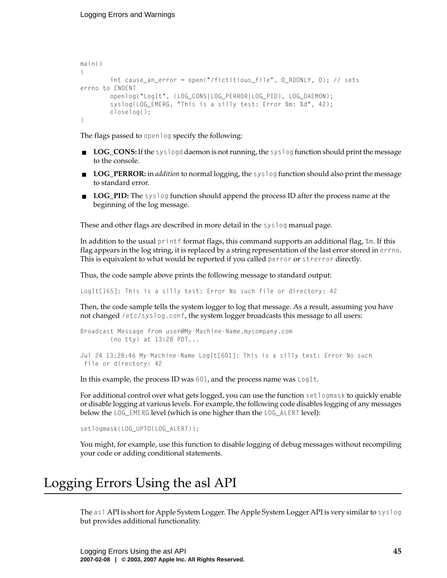```
main()
{
        int cause_an_error = open("/fictitious_file", O_RDONLY, 0); // sets
errno to ENOENT
        openlog("LogIt", (LOG_CONS|LOG_PERROR|LOG_PID), LOG_DAEMON);
        syslog(LOG_EMERG, "This is a silly test: Error %m: %d", 42);
        closelog();
}
```
The flags passed to openlog specify the following:

- **LOG\_CONS:** If the syslogd daemon is not running, the syslog function should print the message to the console.
- **LOG\_PERROR:** in *addition* to normal logging, the syslog function should also print the message to standard error.
- **LOG\_PID:** The syslog function should append the process ID after the process name at the beginning of the log message.

These and other flags are described in more detail in the syslog manual page.

In addition to the usual printf format flags, this command supports an additional flag, %m. If this flag appears in the log string, it is replaced by a string representation of the last error stored in errno. This is equivalent to what would be reported if you called perror or strerror directly.

Thus, the code sample above prints the following message to standard output:

LogIt[165]: This is a silly test: Error No such file or directory: 42

Then, the code sample tells the system logger to log that message. As a result, assuming you have not changed /etc/syslog.conf, the system logger broadcasts this message to all users:

```
Broadcast Message from user@My-Machine-Name.mycompany.com
       (no tty) at 13:28 PDT...
Jul 24 13:28:46 My-Machine-Name LogIt[601]: This is a silly test: Error No such
file or directory: 42
```
In this example, the process ID was  $601$ , and the process name was  $\text{LogIt}$ .

For additional control over what gets logged, you can use the function setlogmask to quickly enable or disable logging at various levels. For example, the following code disables logging of any messages below the LOG\_EMERG level (which is one higher than the LOG\_ALERT level):

<span id="page-44-0"></span>setlogmask(LOG\_UPTO(LOG\_ALERT));

You might, for example, use this function to disable logging of debug messages without recompiling your code or adding conditional statements.

## Logging Errors Using the asl API

The asl API is short for Apple System Logger. The Apple System Logger API is verysimilarto syslog but provides additional functionality.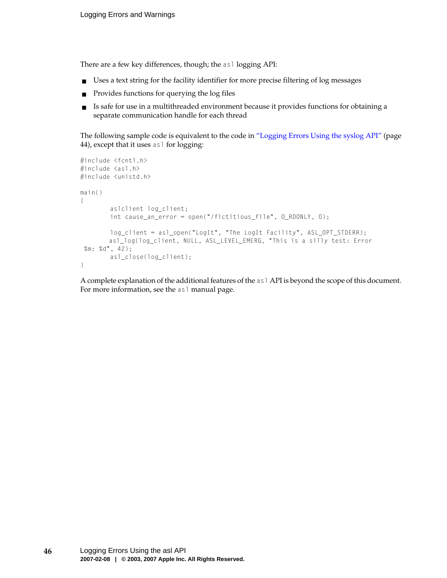There are a few key differences, though; the asl logging API:

- Uses a text string for the facility identifier for more precise filtering of log messages
- Provides functions for querying the log files
- Is safe for use in a multithreaded environment because it provides functions for obtaining a separate communication handle for each thread

The following sample code is equivalent to the code in ["Logging](#page-43-0) Errors Using the syslog API" (page 44), except that it uses as l for logging:

```
#include <fcntl.h>
#include <asl.h>
#include <unistd.h>
main()
{
        aslclient log_client;
       int cause_an_error = open("/fictitious_file", O_RDONLY, 0);
       log_client = asl_open("LogIt", "The LogIt Facility", ASL_OPT_STDERR);
       asl_log(log_client, NULL, ASL_LEVEL_EMERG, "This is a silly test: Error
%m: %d", 42);
       asl_close(log_client);
}
```
A complete explanation of the additional features of the  $a\bar{s}$  and  $\bar{P}I$  is beyond the scope of this document. For more information, see the asl manual page.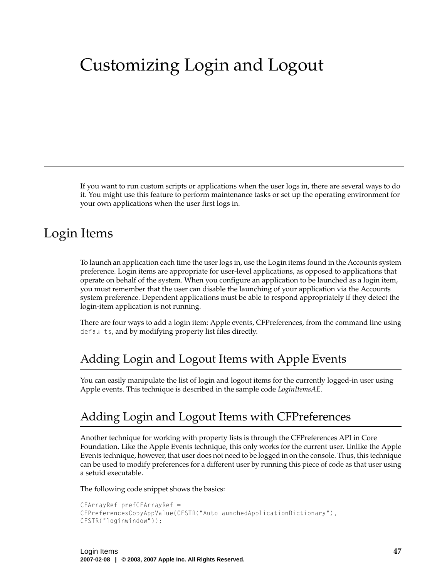# <span id="page-46-0"></span>Customizing Login and Logout

If you want to run custom scripts or applications when the user logs in, there are several ways to do it. You might use this feature to perform maintenance tasks or set up the operating environment for your own applications when the user first logs in.

## <span id="page-46-1"></span>Login Items

To launch an application each time the user logs in, use the Login items found in the Accounts system preference. Login items are appropriate for user-level applications, as opposed to applications that operate on behalf of the system. When you configure an application to be launched as a login item, you must remember that the user can disable the launching of your application via the Accounts system preference. Dependent applications must be able to respond appropriately if they detect the login-item application is not running.

<span id="page-46-2"></span>There are four ways to add a login item: Apple events, CFPreferences, from the command line using defaults, and by modifying property list files directly.

## Adding Login and Logout Items with Apple Events

<span id="page-46-3"></span>You can easily manipulate the list of login and logout items for the currently logged-in user using Apple events. This technique is described in the sample code *LoginItemsAE*.

## Adding Login and Logout Items with CFPreferences

Another technique for working with property lists is through the CFPreferences API in Core Foundation. Like the Apple Events technique, this only works for the current user. Unlike the Apple Events technique, however, that user does not need to be logged in on the console. Thus, this technique can be used to modify preferences for a different user by running this piece of code as that user using a setuid executable.

The following code snippet shows the basics:

```
CFArrayRef prefCFArrayRef =
CFPreferencesCopyAppValue(CFSTR("AutoLaunchedApplicationDictionary"),
CFSTR("loginwindow"));
```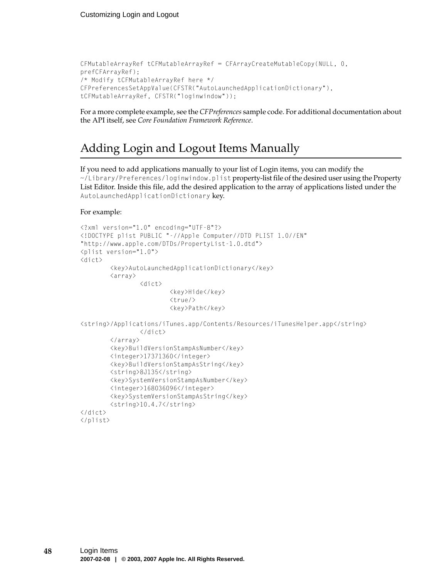```
CFMutableArrayRef tCFMutableArrayRef = CFArrayCreateMutableCopy(NULL, 0,
prefCFArrayRef);
/* Modify tCFMutableArrayRef here */
CFPreferencesSetAppValue(CFSTR("AutoLaunchedApplicationDictionary"),
tCFMutableArrayRef, CFSTR("loginwindow"));
```
For a more complete example, see the *CFPreferences* sample code.For additional documentation about the API itself, see *Core Foundation Framework Reference*.

## <span id="page-47-0"></span>Adding Login and Logout Items Manually

If you need to add applications manually to your list of Login items, you can modify the ~/Library/Preferences/loginwindow.plist property-list file of the desired user using the Property List Editor. Inside this file, add the desired application to the array of applications listed under the AutoLaunchedApplicationDictionary key.

### For example:

```
<?xml version="1.0" encoding="UTF-8"?>
<!DOCTYPE plist PUBLIC "-//Apple Computer//DTD PLIST 1.0//EN"
"http://www.apple.com/DTDs/PropertyList-1.0.dtd">
<plist version="1.0">
<dict>
        <key>AutoLaunchedApplicationDictionary</key>
        <array>
                <dict>
                        <key>Hide</key>
                        <true/>
                        <key>Path</key>
<string>/Applications/iTunes.app/Contents/Resources/iTunesHelper.app</string>
                </dict>
        </array>
        <key>BuildVersionStampAsNumber</key>
        <integer>17371360</integer>
        <key>BuildVersionStampAsString</key>
        <string>8J135</string>
        <key>SystemVersionStampAsNumber</key>
        <integer>168036096</integer>
        <key>SystemVersionStampAsString</key>
        <string>10.4.7</string>
</dict>
</plist>
```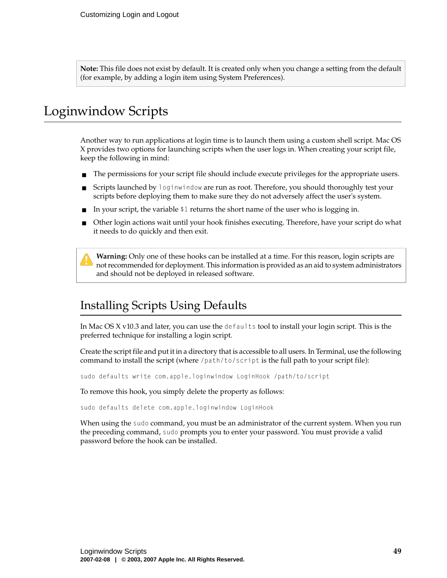**Note:** This file does not exist by default. It is created only when you change a setting from the default (for example, by adding a login item using System Preferences).

## <span id="page-48-0"></span>Loginwindow Scripts

Another way to run applications at login time is to launch them using a custom shell script. Mac OS X provides two options for launching scripts when the user logs in. When creating your script file, keep the following in mind:

- The permissions for your script file should include execute privileges for the appropriate users.
- Scripts launched by loginwindow are run as root. Therefore, you should thoroughly test your scripts before deploying them to make sure they do not adversely affect the user's system.
- In your script, the variable \$1 returns the short name of the user who is logging in.
- Other login actions wait until your hook finishes executing. Therefore, have your script do what it needs to do quickly and then exit.

<span id="page-48-1"></span>**Warning:** Only one of these hooks can be installed at a time. For this reason, login scripts are notrecommended for deployment. This information is provided as an aid to system administrators and should not be deployed in released software.

## Installing Scripts Using Defaults

In Mac OS  $X$  v10.3 and later, you can use the defaults tool to install your login script. This is the preferred technique for installing a login script.

Create the script file and put it in a directorythat is accessible to all users. In Terminal, use the following command to install the script (where /path/to/script is the full path to your script file):

sudo defaults write com.apple.loginwindow LoginHook /path/to/script

To remove this hook, you simply delete the property as follows:

sudo defaults delete com.apple.loginwindow LoginHook

When using the sudo command, you must be an administrator of the current system. When you run the preceding command, sudo prompts you to enter your password. You must provide a valid password before the hook can be installed.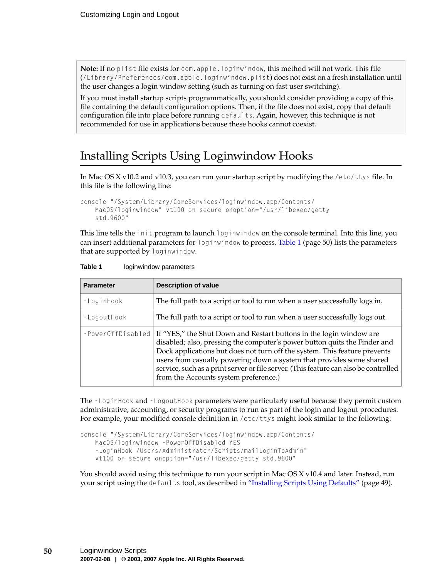**Note:** If no plist file exists for com.apple.loginwindow, this method will not work. This file (/Library/Preferences/com.apple.loginwindow.plist) does not exist on a fresh installation until the user changes a login window setting (such as turning on fast user switching).

If you must install startup scripts programmatically, you should consider providing a copy of this file containing the default configuration options. Then, if the file does not exist, copy that default configuration file into place before running defaults. Again, however, this technique is not recommended for use in applications because these hooks cannot coexist.

## <span id="page-49-0"></span>Installing Scripts Using Loginwindow Hooks

In Mac OS X v10.2 and v10.3, you can run your startup script by modifying the /etc/ttys file. In this file is the following line:

```
console "/System/Library/CoreServices/loginwindow.app/Contents/
   MacOS/loginwindow" vt100 on secure onoption="/usr/libexec/getty
   std.9600"
```
<span id="page-49-1"></span>This line tells the init program to launch loginwindow on the console terminal. Into this line, you can insert additional parameters for loginwindow to process. [Table](#page-49-1) 1 (page 50) lists the parameters that are supported by loginwindow.

<span id="page-49-3"></span>

| <b>Parameter</b>  | <b>Description of value</b>                                                                                                                                                                                                                                                                                                                                                                                                            |
|-------------------|----------------------------------------------------------------------------------------------------------------------------------------------------------------------------------------------------------------------------------------------------------------------------------------------------------------------------------------------------------------------------------------------------------------------------------------|
| -LoginHook        | The full path to a script or tool to run when a user successfully logs in.                                                                                                                                                                                                                                                                                                                                                             |
| -LogoutHook       | The full path to a script or tool to run when a user successfully logs out.                                                                                                                                                                                                                                                                                                                                                            |
| -PowerOffDisabled | If "YES," the Shut Down and Restart buttons in the login window are<br>disabled; also, pressing the computer's power button quits the Finder and<br>Dock applications but does not turn off the system. This feature prevents<br>users from casually powering down a system that provides some shared<br>service, such as a print server or file server. (This feature can also be controlled<br>from the Accounts system preference.) |

<span id="page-49-2"></span>**Table 1** loginwindow parameters

The -LoginHook and -LogoutHook parameters were particularly useful because they permit custom administrative, accounting, or security programs to run as part of the login and logout procedures. For example, your modified console definition in /etc/ttys might look similar to the following:

```
console "/System/Library/CoreServices/loginwindow.app/Contents/
   MacOS/loginwindow -PowerOffDisabled YES
    -LoginHook /Users/Administrator/Scripts/mailLoginToAdmin"
    vt100 on secure onoption="/usr/libexec/getty std.9600"
```
You should avoid using this technique to run your script in Mac OS X v10.4 and later. Instead, run your script using the defaults tool, as described in ["Installing](#page-48-1) Scripts Using Defaults" (page 49).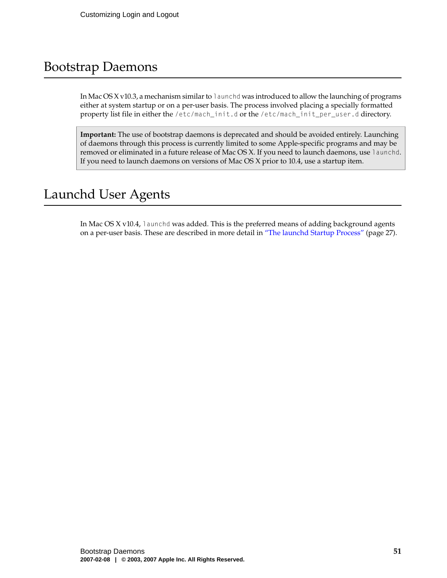## <span id="page-50-0"></span>Bootstrap Daemons

<span id="page-50-2"></span>In Mac OS X v10.3, a mechanism similar to launchd was introduced to allow the launching of programs either at system startup or on a per-user basis. The process involved placing a specially formatted property list file in either the /etc/mach\_init.d or the /etc/mach\_init\_per\_user.d directory.

**Important:** The use of bootstrap daemons is deprecated and should be avoided entirely. Launching of daemons through this process is currently limited to some Apple-specific programs and may be removed or eliminated in a future release of Mac OS X. If you need to launch daemons, use launchd. If you need to launch daemons on versions of Mac OS X prior to 10.4, use a startup item.

# <span id="page-50-1"></span>Launchd User Agents

In Mac OS X v10.4, launchd was added. This is the preferred means of adding background agents on a per-user basis. These are described in more detail in "The launchd Startup [Process"](#page-26-1) (page 27).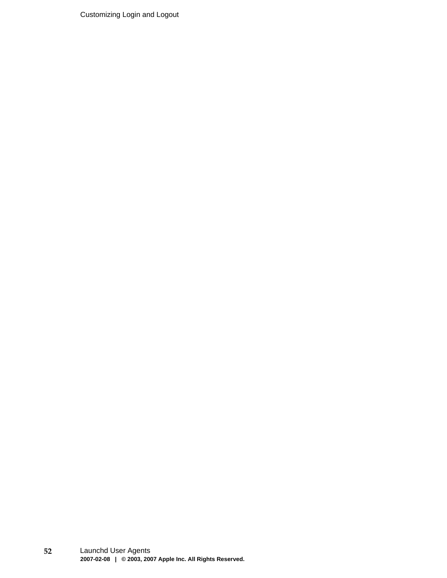Customizing Login and Logout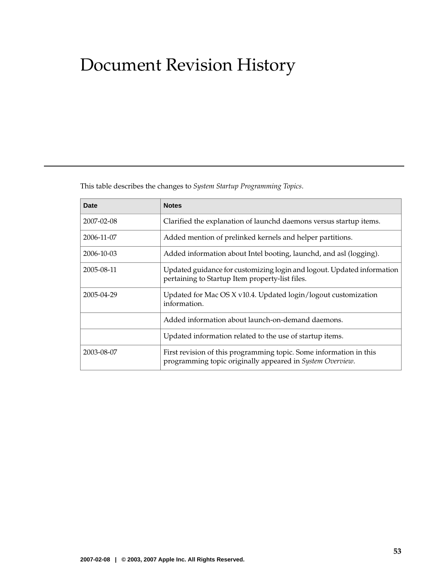# <span id="page-52-0"></span>Document Revision History

This table describes the changes to *System Startup Programming Topics*.

| <b>Date</b> | <b>Notes</b>                                                                                                                    |  |
|-------------|---------------------------------------------------------------------------------------------------------------------------------|--|
| 2007-02-08  | Clarified the explanation of launchd daemons versus startup items.                                                              |  |
| 2006-11-07  | Added mention of prelinked kernels and helper partitions.                                                                       |  |
| 2006-10-03  | Added information about Intel booting, launchd, and asl (logging).                                                              |  |
| 2005-08-11  | Updated guidance for customizing login and logout. Updated information<br>pertaining to Startup Item property-list files.       |  |
| 2005-04-29  | Updated for Mac OS X v10.4. Updated login/logout customization<br>information.                                                  |  |
|             | Added information about launch-on-demand daemons.                                                                               |  |
|             | Updated information related to the use of startup items.                                                                        |  |
| 2003-08-07  | First revision of this programming topic. Some information in this<br>programming topic originally appeared in System Overview. |  |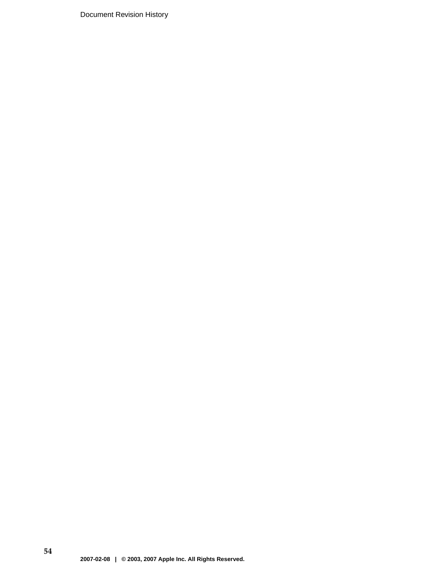Document Revision History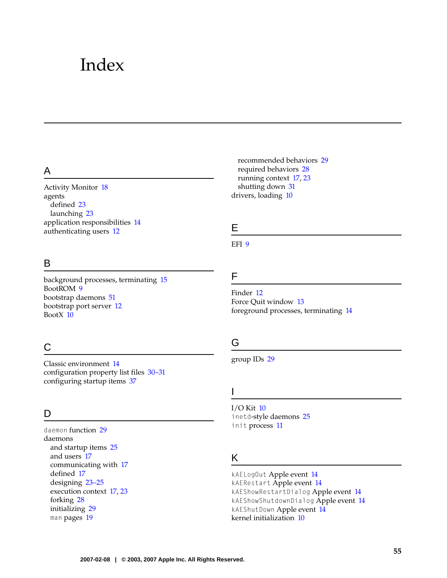# Index

### <span id="page-54-0"></span>A

Activity Monitor [18](#page-17-1) agents defined [23](#page-22-2) launching [23](#page-22-3) application responsibilities [14](#page-13-2) authenticating users [12](#page-11-2)

### B

background processes, terminating [15](#page-14-2) BootROM [9](#page-8-2) bootstrap daemons [51](#page-50-2) bootstrap port server [12](#page-11-3) BootX [10](#page-9-1)

## C

Classic environment [14](#page-13-3) configuration property list files [30–31](#page-29-2) configuring startup items [37](#page-36-2)

## D

daemon function [29](#page-28-1) daemons and startup items [25](#page-24-1) and users [17](#page-16-2) communicating with [17](#page-16-3) defined [17](#page-16-4) designing [23–25](#page-22-4) execution context [17,](#page-16-5) [23](#page-22-5) forking [28](#page-27-2) initializing [29](#page-28-2) man pages [19](#page-18-3)

recommended behaviors [29](#page-28-3) required behaviors [28](#page-27-3) running context [17,](#page-16-5) [23](#page-22-5) shutting down [31](#page-30-2) drivers, loading [10](#page-9-2)

### E

EFI [9](#page-8-3)

### F

Finder [12](#page-11-4) Force Quit window [13](#page-12-1) foreground processes, terminating [14](#page-13-4)

## G

group IDs [29](#page-28-4)

## I

 $I/O$  Kit  $10$ inetd-style daemons [25](#page-24-2) init process [11](#page-10-0)

## K

kAELogOut Apple event [14](#page-13-5) kAERestart Apple event [14](#page-13-6) kAEShowRestartDialog Apple event [14](#page-13-7) kAEShowShutdownDialog Apple event [14](#page-13-8) kAEShutDown Apple event [14](#page-13-9) kernel initialization [10](#page-9-4)